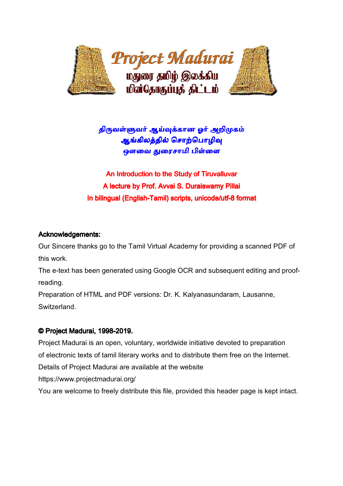

# திருவள்ளுவர் ஆய்வுக்கான <mark>ஓர் அறிமுகம்</mark> ஆங்கிலத்தில் சொற்பொழிவு ஒளவை துரைசாமி பிள்ளை

An Introduction to the Study of Tiruvalluvar A lecture by Prof. Avvai S. Duraiswamy Pillai In bilingual (English-Tamil) scripts, unicode/utf-8 format

## Acknowledgements:

Our Sincere thanks go to the Tamil Virtual Academy for providing a scanned PDF of this work.

The e-text has been generated using Google OCR and subsequent editing and proofreading.

Preparation of HTML and PDF versions: Dr. K. Kalyanasundaram, Lausanne, Switzerland.

## © Project Madurai, 1998-2019.

Project Madurai is an open, voluntary, worldwide initiative devoted to preparation of electronic texts of tamil literary works and to distribute them free on the Internet. Details of Project Madurai are available at the website https://www.projectmadurai.org/

You are welcome to freely distribute this file, provided this header page is kept intact.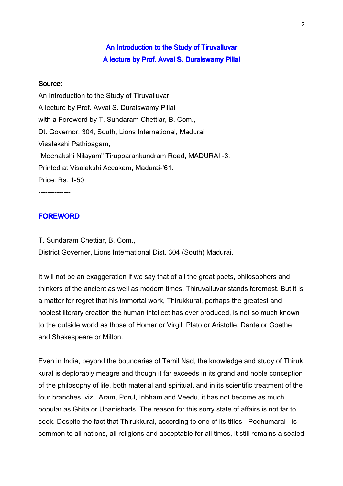# An Introduction to the Study of Tiruvalluvar A lecture by Prof. Avvai S. Duraiswamy Pillai

## Source:

An Introduction to the Study of Tiruvalluvar A lecture by Prof. Avvai S. Duraiswamy Pillai with a Foreword by T. Sundaram Chettiar, B. Com., Dt. Governor, 304, South, Lions International, Madurai Visalakshi Pathipagam, "Meenakshi Nilayam" Tirupparankundram Road, MADURAI -3. Printed at Visalakshi Accakam, Madurai-'61. Price: Rs. 1-50 --------------

**FOREWORD** 

T. Sundaram Chettiar, B. Com., District Governer, Lions International Dist. 304 (South) Madurai.

It will not be an exaggeration if we say that of all the great poets, philosophers and thinkers of the ancient as well as modern times, Thiruvalluvar stands foremost. But it is a matter for regret that his immortal work, Thirukkural, perhaps the greatest and noblest literary creation the human intellect has ever produced, is not so much known to the outside world as those of Homer or Virgil, Plato or Aristotle, Dante or Goethe and Shakespeare or Milton.

Even in India, beyond the boundaries of Tamil Nad, the knowledge and study of Thiruk kural is deplorably meagre and though it far exceeds in its grand and noble conception of the philosophy of life, both material and spiritual, and in its scientific treatment of the four branches, viz., Aram, Porul, Inbham and Veedu, it has not become as much popular as Ghita or Upanishads. The reason for this sorry state of affairs is not far to seek. Despite the fact that Thirukkural, according to one of its titles - Podhumarai - is common to all nations, all religions and acceptable for all times, it still remains a sealed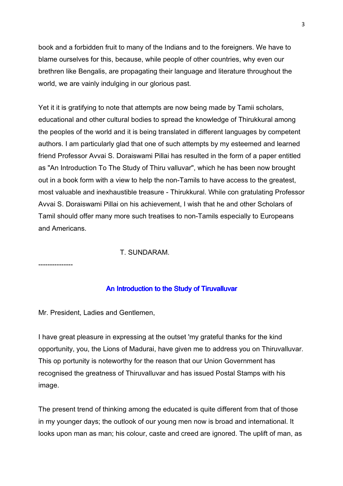book and a forbidden fruit to many of the Indians and to the foreigners. We have to blame ourselves for this, because, while people of other countries, why even our brethren like Bengalis, are propagating their language and literature throughout the world, we are vainly indulging in our glorious past.

Yet it it is gratifying to note that attempts are now being made by Tamii scholars, educational and other cultural bodies to spread the knowledge of Thirukkural among the peoples of the world and it is being translated in different languages by competent authors. I am particularly glad that one of such attempts by my esteemed and learned friend Professor Avvai S. Doraiswami Pillai has resulted in the form of a paper entitled as "An Introduction To The Study of Thiru valluvar", which he has been now brought out in a book form with a view to help the non-Tamils to have access to the greatest, most valuable and inexhaustible treasure - Thirukkural. While con gratulating Professor Avvai S. Doraiswami Pillai on his achievement, I wish that he and other Scholars of Tamil should offer many more such treatises to non-Tamils especially to Europeans and Americans.

T. SUNDARAM.

---------------

## An Introduction to the Study of Tiruvalluvar

Mr. President, Ladies and Gentlemen,

I have great pleasure in expressing at the outset 'my grateful thanks for the kind opportunity, you, the Lions of Madurai, have given me to address you on Thiruvalluvar. This op portunity is noteworthy for the reason that our Union Government has recognised the greatness of Thiruvalluvar and has issued Postal Stamps with his image.

The present trend of thinking among the educated is quite different from that of those in my younger days; the outlook of our young men now is broad and international. It looks upon man as man; his colour, caste and creed are ignored. The uplift of man, as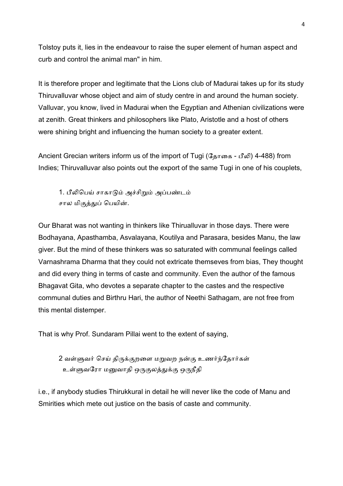Tolstoy puts it, lies in the endeavour to raise the super element of human aspect and curb and control the animal man" in him.

It is therefore proper and legitimate that the Lions club of Madurai takes up for its study Thiruvalluvar whose object and aim of study centre in and around the human society. Valluvar, you know, lived in Madurai when the Egyptian and Athenian civilizations were at zenith. Great thinkers and philosophers like Plato, Aristotle and a host of others were shining bright and influencing the human society to a greater extent.

Ancient Grecian writers inform us of the import of Tugi (தோகை - பீலி) 4-488) from Indies; Thiruvalluvar also points out the export of the same Tugi in one of his couplets,

1. பீலிபெய் சாகாடும் அச்சிறும் அப்பண்டம் சால மிகுத்துப் பெயின்.

Our Bharat was not wanting in thinkers like Thirualluvar in those days. There were Bodhayana, Apasthamba, Asvalayana, Koutilya and Parasara, besides Manu, the law giver. But the mind of these thinkers was so saturated with communal feelings called Varnashrama Dharma that they could not extricate themseves from bias, They thought and did every thing in terms of caste and community. Even the author of the famous Bhagavat Gita, who devotes a separate chapter to the castes and the respective communal duties and Birthru Hari, the author of Neethi Sathagam, are not free from this mental distemper.

That is why Prof. Sundaram Pillai went to the extent of saying,

2 வள்ளுவர் செய் திருக்குறளை மறுவற நன்கு உணர்ந்தோர்கள் உள்ளுவரோ மனுவாதி ஒருகுலத்துக்கு ஒருநீதி

i.e., if anybody studies Thirukkural in detail he will never like the code of Manu and Smirities which mete out justice on the basis of caste and community.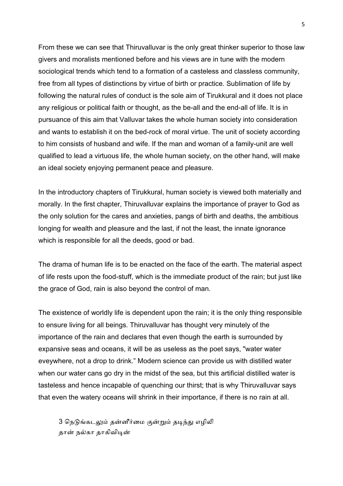From these we can see that Thiruvalluvar is the only great thinker superior to those law givers and moralists mentioned before and his views are in tune with the modern sociological trends which tend to a formation of a casteless and classless community, free from all types of distinctions by virtue of birth or practice. Sublimation of life by following the natural rules of conduct is the sole aim of Tirukkural and it does not place any religious or political faith or thought, as the be-all and the end-all of life. It is in pursuance of this aim that Valluvar takes the whole human society into consideration and wants to establish it on the bed-rock of moral virtue. The unit of society according to him consists of husband and wife. If the man and woman of a family-unit are well qualified to lead a virtuous life, the whole human society, on the other hand, will make an ideal society enjoying permanent peace and pleasure.

In the introductory chapters of Tirukkural, human society is viewed both materially and morally. In the first chapter, Thiruvalluvar explains the importance of prayer to God as the only solution for the cares and anxieties, pangs of birth and deaths, the ambitious longing for wealth and pleasure and the last, if not the least, the innate ignorance which is responsible for all the deeds, good or bad.

The drama of human life is to be enacted on the face of the earth. The material aspect of life rests upon the food-stuff, which is the immediate product of the rain; but just like the grace of God, rain is also beyond the control of man.

The existence of worldly life is dependent upon the rain; it is the only thing responsible to ensure living for all beings. Thiruvalluvar has thought very minutely of the importance of the rain and declares that even though the earth is surrounded by expansive seas and oceans, it will be as useless as the poet says, "water water eveywhere, not a drop to drink." Modern science can provide us with distilled water when our water cans go dry in the midst of the sea, but this artificial distilled water is tasteless and hence incapable of quenching our thirst; that is why Thiruvalluvar says that even the watery oceans will shrink in their importance, if there is no rain at all.

3 நெடுங்கடலும் தன்னீர்மை குன்றும் தடிந்து எழிலி தான் நல்கா தாகிவிடின்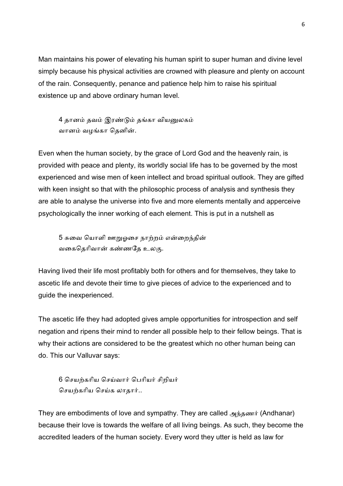Man maintains his power of elevating his human spirit to super human and divine level simply because his physical activities are crowned with pleasure and plenty on account of the rain. Consequently, penance and patience help him to raise his spiritual existence up and above ordinary human level.

4 தானம் தவம் இரண்டும் தங்கா வியனுலகம் வானம் வழங்கா தெனின்.

Even when the human society, by the grace of Lord God and the heavenly rain, is provided with peace and plenty, its worldly social life has to be governed by the most experienced and wise men of keen intellect and broad spiritual outlook. They are gifted with keen insight so that with the philosophic process of analysis and synthesis they are able to analyse the universe into five and more elements mentally and apperceive psychologically the inner working of each element. This is put in a nutshell as

5 சுவை யொளி ஊறுஓசை நாற்றம் என்றைந்தின் வகைதெரிவான் கண்ணதே உலகு.

Having lived their life most profitably both for others and for themselves, they take to ascetic life and devote their time to give pieces of advice to the experienced and to guide the inexperienced.

The ascetic life they had adopted gives ample opportunities for introspection and self negation and ripens their mind to render all possible help to their fellow beings. That is why their actions are considered to be the greatest which no other human being can do. This our Valluvar says:

6 செயற்கரிய செய்வார் பெரியர் சிறியர் செயற்கரிய செய்க லாகார்..

They are embodiments of love and sympathy. They are called அந்தணர் (Andhanar) because their love is towards the welfare of all living beings. As such, they become the accredited leaders of the human society. Every word they utter is held as law for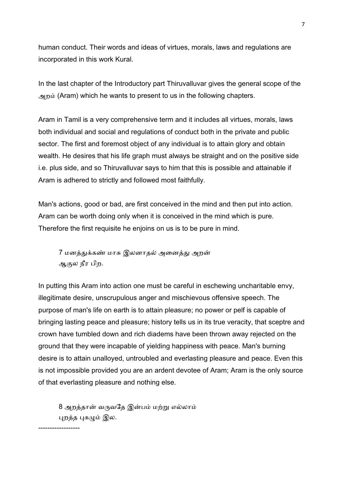human conduct. Their words and ideas of virtues, morals, laws and regulations are incorporated in this work Kural.

In the last chapter of the Introductory part Thiruvalluvar gives the general scope of the அற (Aram) which he wants to present to us in the following chapters.

Aram in Tamil is a very comprehensive term and it includes all virtues, morals, laws both individual and social and regulations of conduct both in the private and public sector. The first and foremost object of any individual is to attain glory and obtain wealth. He desires that his life graph must always be straight and on the positive side i.e. plus side, and so Thiruvalluvar says to him that this is possible and attainable if Aram is adhered to strictly and followed most faithfully.

Man's actions, good or bad, are first conceived in the mind and then put into action. Aram can be worth doing only when it is conceived in the mind which is pure. Therefore the first requisite he enjoins on us is to be pure in mind.

7 மனத்துக்கண் மாசு இலனாதல் அனைத்து அறன் ஆல நீர பிற.

In putting this Aram into action one must be careful in eschewing uncharitable envy, illegitimate desire, unscrupulous anger and mischievous offensive speech. The purpose of man's life on earth is to attain pleasure; no power or pelf is capable of bringing lasting peace and pleasure; history tells us in its true veracity, that sceptre and crown have tumbled down and rich diadems have been thrown away rejected on the ground that they were incapable of yielding happiness with peace. Man's burning desire is to attain unalloyed, untroubled and everlasting pleasure and peace. Even this is not impossible provided you are an ardent devotee of Aram; Aram is the only source of that everlasting pleasure and nothing else.

8 அறத்தான் வருவதே இன்பம் மற்று எல்லாம் புறத்த புகழும் இல.

------------------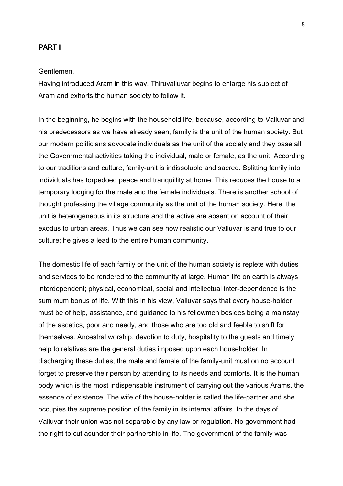## PART I

#### Gentlemen,

Having introduced Aram in this way, Thiruvalluvar begins to enlarge his subject of Aram and exhorts the human society to follow it.

In the beginning, he begins with the household life, because, according to Valluvar and his predecessors as we have already seen, family is the unit of the human society. But our modern politicians advocate individuals as the unit of the society and they base all the Governmental activities taking the individual, male or female, as the unit. According to our traditions and culture, family-unit is indissoluble and sacred. Splitting family into individuals has torpedoed peace and tranquillity at home. This reduces the house to a temporary lodging for the male and the female individuals. There is another school of thought professing the village community as the unit of the human society. Here, the unit is heterogeneous in its structure and the active are absent on account of their exodus to urban areas. Thus we can see how realistic our Valluvar is and true to our culture; he gives a lead to the entire human community.

The domestic life of each family or the unit of the human society is replete with duties and services to be rendered to the community at large. Human life on earth is always interdependent; physical, economical, social and intellectual inter-dependence is the sum mum bonus of life. With this in his view, Valluvar says that every house-holder must be of help, assistance, and guidance to his fellowmen besides being a mainstay of the ascetics, poor and needy, and those who are too old and feeble to shift for themselves. Ancestral worship, devotion to duty, hospitality to the guests and timely help to relatives are the general duties imposed upon each householder. In discharging these duties, the male and female of the family-unit must on no account forget to preserve their person by attending to its needs and comforts. It is the human body which is the most indispensable instrument of carrying out the various Arams, the essence of existence. The wife of the house-holder is called the life-partner and she occupies the supreme position of the family in its internal affairs. In the days of Valluvar their union was not separable by any law or regulation. No government had the right to cut asunder their partnership in life. The government of the family was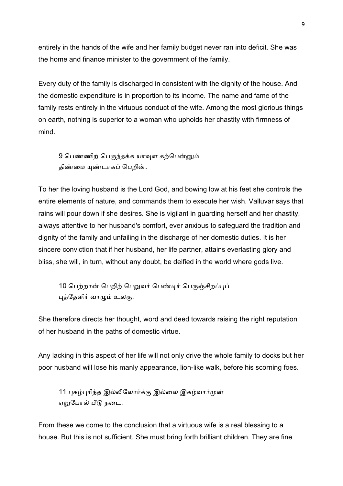entirely in the hands of the wife and her family budget never ran into deficit. She was the home and finance minister to the government of the family.

Every duty of the family is discharged in consistent with the dignity of the house. And the domestic expenditure is in proportion to its income. The name and fame of the family rests entirely in the virtuous conduct of the wife. Among the most glorious things on earth, nothing is superior to a woman who upholds her chastity with firmness of mind.

9 பெண்ணிற் பெருந்தக்க யாவுள கற்பென்னும் திண்மை யுண்டாகப் பெறின்.

To her the loving husband is the Lord God, and bowing low at his feet she controls the entire elements of nature, and commands them to execute her wish. Valluvar says that rains will pour down if she desires. She is vigilant in guarding herself and her chastity, always attentive to her husband's comfort, ever anxious to safeguard the tradition and dignity of the family and unfailing in the discharge of her domestic duties. It is her sincere conviction that if her husband, her life partner, attains everlasting glory and bliss, she will, in turn, without any doubt, be deified in the world where gods live.

10 பெற்றான் பெறிற் பெறுவர் பெண்டிர் பெருஞ்சிறப்புப் புத்தேளிர் வாழும் உலகு.

She therefore directs her thought, word and deed towards raising the right reputation of her husband in the paths of domestic virtue.

Any lacking in this aspect of her life will not only drive the whole family to docks but her poor husband will lose his manly appearance, lion-like walk, before his scorning foes.

11 புகழ்புரிந்த இல்லிலோர்க்கு இல்லை இகழ்வார்முன் ஏறுபோல் பீடு நடை.

From these we come to the conclusion that a virtuous wife is a real blessing to a house. But this is not sufficient. She must bring forth brilliant children. They are fine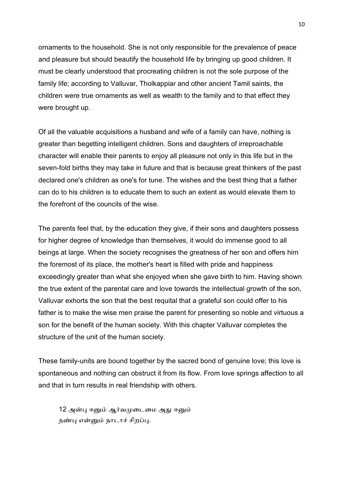ornaments to the household. She is not only responsible for the prevalence of peace and pleasure but should beautify the household life by bringing up good children. It must be clearly understood that procreating children is not the sole purpose of the family life; according to Valluvar, Tholkappiar and other ancient Tamil saints, the children were true ornaments as well as wealth to the family and to that effect they were brought up.

Of all the valuable acquisitions a husband and wife of a family can have, nothing is greater than begetting intelligent children. Sons and daughters of irreproachable character will enable their parents to enjoy all pleasure not only in this life but in the seven-fold births they may take in future and that is because great thinkers of the past declared one's children as one's for tune. The wishes and the best thing that a father can do to his children is to educate them to such an extent as would elevate them to the forefront of the councils of the wise.

The parents feel that, by the education they give, if their sons and daughters possess for higher degree of knowledge than themselves, it would do immense good to all beings at large. When the society recognises the greatness of her son and offers him the foremost of its place, the mother's heart is filled with pride and happiness exceedingly greater than what she enjoyed when she gave birth to him. Having shown the true extent of the parental care and love towards the intellectual growth of the son, Valluvar exhorts the son that the best requital that a grateful son could offer to his father is to make the wise men praise the parent for presenting so noble and virtuous a son for the benefit of the human society. With this chapter Valluvar completes the structure of the unit of the human society.

These family-units are bound together by the sacred bond of genuine love; this love is spontaneous and nothing can obstruct it from its flow. From love springs affection to all and that in turn results in real friendship with others.

12 அன்பு ஈனும் ஆர்வமுடைமை அது ஈனும் நண்பு என்னும் நாடாச் சிறப்பு.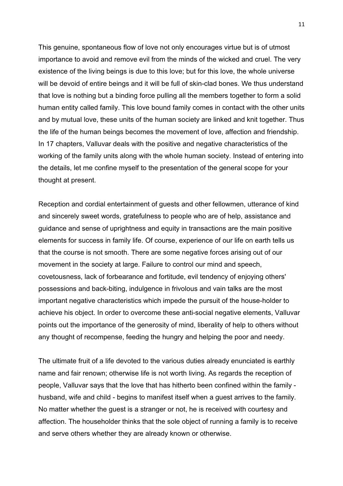This genuine, spontaneous flow of love not only encourages virtue but is of utmost importance to avoid and remove evil from the minds of the wicked and cruel. The very existence of the living beings is due to this love; but for this love, the whole universe will be devoid of entire beings and it will be full of skin-clad bones. We thus understand that love is nothing but a binding force pulling all the members together to form a solid human entity called family. This love bound family comes in contact with the other units and by mutual love, these units of the human society are linked and knit together. Thus the life of the human beings becomes the movement of love, affection and friendship. In 17 chapters, Valluvar deals with the positive and negative characteristics of the working of the family units along with the whole human society. Instead of entering into the details, let me confine myself to the presentation of the general scope for your thought at present.

Reception and cordial entertainment of guests and other fellowmen, utterance of kind and sincerely sweet words, gratefulness to people who are of help, assistance and guidance and sense of uprightness and equity in transactions are the main positive elements for success in family life. Of course, experience of our life on earth tells us that the course is not smooth. There are some negative forces arising out of our movement in the society at large. Failure to control our mind and speech, covetousness, lack of forbearance and fortitude, evil tendency of enjoying others' possessions and back-biting, indulgence in frivolous and vain talks are the most important negative characteristics which impede the pursuit of the house-holder to achieve his object. In order to overcome these anti-social negative elements, Valluvar points out the importance of the generosity of mind, liberality of help to others without any thought of recompense, feeding the hungry and helping the poor and needy.

The ultimate fruit of a life devoted to the various duties already enunciated is earthly name and fair renown; otherwise life is not worth living. As regards the reception of people, Valluvar says that the love that has hitherto been confined within the family husband, wife and child - begins to manifest itself when a guest arrives to the family. No matter whether the guest is a stranger or not, he is received with courtesy and affection. The householder thinks that the sole object of running a family is to receive and serve others whether they are already known or otherwise.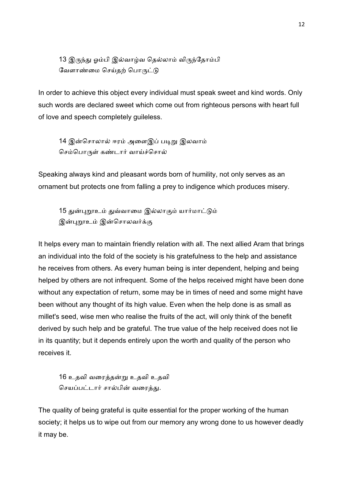13 இருந்து ஓம்பி இல்வாழ்வ தெல்லாம் விருந்தோம்பி வேளாண்மை செய்தற் பொருட்டு

In order to achieve this object every individual must speak sweet and kind words. Only such words are declared sweet which come out from righteous persons with heart full of love and speech completely guileless.

14 இன்சொலால் ஈரம் அளைஇப் படிறு இலவாம் செம்பொருள் கண்டார் வாய்ச்சொல்

Speaking always kind and pleasant words born of humility, not only serves as an ornament but protects one from falling a prey to indigence which produces misery.

15 துன்புறூஉம் துவ்வாமை இல்லாகும் யார்மாட்டும் இன்புறூஉம் இன்சொலவர்க்கு

It helps every man to maintain friendly relation with all. The next allied Aram that brings an individual into the fold of the society is his gratefulness to the help and assistance he receives from others. As every human being is inter dependent, helping and being helped by others are not infrequent. Some of the helps received might have been done without any expectation of return, some may be in times of need and some might have been without any thought of its high value. Even when the help done is as small as millet's seed, wise men who realise the fruits of the act, will only think of the benefit derived by such help and be grateful. The true value of the help received does not lie in its quantity; but it depends entirely upon the worth and quality of the person who receives it.

16 உதவி வரைத்தன்று உதவி உதவி செயப்பட்டார் சால்பின் வரைத்து.

The quality of being grateful is quite essential for the proper working of the human society; it helps us to wipe out from our memory any wrong done to us however deadly it may be.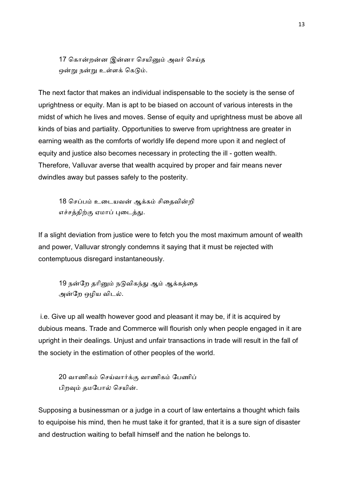17 கொன்றன்ன இன்னா செயினும் அவர் செய்த ஒன்று நன்று உள்ளக் கெடும்.

The next factor that makes an individual indispensable to the society is the sense of uprightness or equity. Man is apt to be biased on account of various interests in the midst of which he lives and moves. Sense of equity and uprightness must be above all kinds of bias and partiality. Opportunities to swerve from uprightness are greater in earning wealth as the comforts of worldly life depend more upon it and neglect of equity and justice also becomes necessary in protecting the ill - gotten wealth. Therefore, Valluvar averse that wealth acquired by proper and fair means never dwindles away but passes safely to the posterity.

18 செப்பம் உடையவன் ஆக்கம் சிதைவின்றி எச்சத்திற்கு ஏமாப் புடைத்து.

If a slight deviation from justice were to fetch you the most maximum amount of wealth and power, Valluvar strongly condemns it saying that it must be rejected with contemptuous disregard instantaneously.

19 நன்றே தரினும் நடுவிகந்து ஆம் ஆக்கத்தை அன்றே ஒழிய விடல்.

 i.e. Give up all wealth however good and pleasant it may be, if it is acquired by dubious means. Trade and Commerce will flourish only when people engaged in it are upright in their dealings. Unjust and unfair transactions in trade will result in the fall of the society in the estimation of other peoples of the world.

20 வாணிகம் செய்வார்க்கு வாணிகம் பேணிப் பிறவும் தமபோல் செயின்.

Supposing a businessman or a judge in a court of law entertains a thought which fails to equipoise his mind, then he must take it for granted, that it is a sure sign of disaster and destruction waiting to befall himself and the nation he belongs to.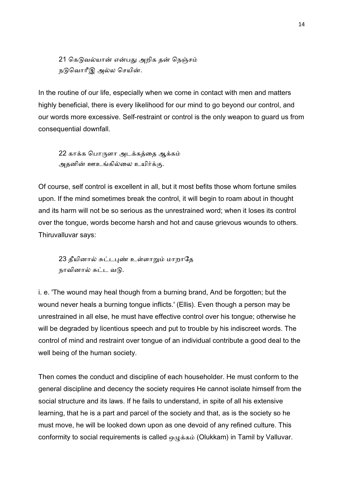21 கெடுவல்யான் என்பது அறிக தன் நெஞ்சம் நடுவொரீஇ அல்ல செயின்.

In the routine of our life, especially when we come in contact with men and matters highly beneficial, there is every likelihood for our mind to go beyond our control, and our words more excessive. Self-restraint or control is the only weapon to guard us from consequential downfall.

22 காக்க பொருளா அடக்கத்தை ஆக்கம் அதனின் ஊஉங்கில்லை உயிர்க்கு.

Of course, self control is excellent in all, but it most befits those whom fortune smiles upon. If the mind sometimes break the control, it will begin to roam about in thought and its harm will not be so serious as the unrestrained word; when it loses its control over the tongue, words become harsh and hot and cause grievous wounds to others. Thiruvalluvar says:

23 தீயினால் சுட்டபுண் உள்ளாறும் மாறாதே நாவினால் சுட்ட வடு.

i. e. 'The wound may heal though from a burning brand, And be forgotten; but the wound never heals a burning tongue inflicts.' (Ellis). Even though a person may be unrestrained in all else, he must have effective control over his tongue; otherwise he will be degraded by licentious speech and put to trouble by his indiscreet words. The control of mind and restraint over tongue of an individual contribute a good deal to the well being of the human society.

Then comes the conduct and discipline of each householder. He must conform to the general discipline and decency the society requires He cannot isolate himself from the social structure and its laws. If he fails to understand, in spite of all his extensive learning, that he is a part and parcel of the society and that, as is the society so he must move, he will be looked down upon as one devoid of any refined culture. This conformity to social requirements is called  $\omega_{\mu}$ க்கம் (Olukkam) in Tamil by Valluvar.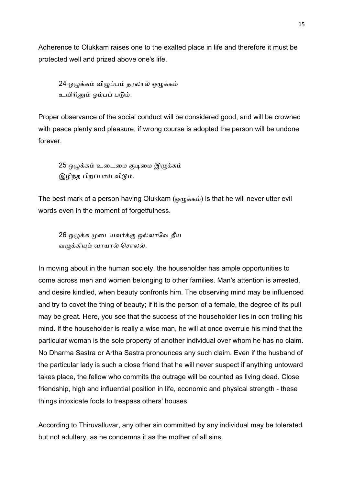Adherence to Olukkam raises one to the exalted place in life and therefore it must be protected well and prized above one's life.

24 ஒழுக்கம் விழுப்பம் தரலால் ஒழுக்கம் உயிரினும் ஓம்பப் படும்.

Proper observance of the social conduct will be considered good, and will be crowned with peace plenty and pleasure; if wrong course is adopted the person will be undone forever.

25 ஒழுக்கம் உடைமை குடிமை இழுக்கம் இழிந்த பிறப்பாய் விடும்.

The best mark of a person having Olukkam (ஒழுக்கம்) is that he will never utter evil words even in the moment of forgetfulness.

26 ஒழுக்க முடையவர்க்கு ஒல்லாவே தீய வழுக்கியும் வாயால் சொலல்.

In moving about in the human society, the householder has ample opportunities to come across men and women belonging to other families. Man's attention is arrested, and desire kindled, when beauty confronts him. The observing mind may be influenced and try to covet the thing of beauty; if it is the person of a female, the degree of its pull may be great. Here, you see that the success of the householder lies in con trolling his mind. If the householder is really a wise man, he will at once overrule his mind that the particular woman is the sole property of another individual over whom he has no claim. No Dharma Sastra or Artha Sastra pronounces any such claim. Even if the husband of the particular lady is such a close friend that he will never suspect if anything untoward takes place, the fellow who commits the outrage will be counted as living dead. Close friendship, high and influential position in life, economic and physical strength - these things intoxicate fools to trespass others' houses.

According to Thiruvalluvar, any other sin committed by any individual may be tolerated but not adultery, as he condemns it as the mother of all sins.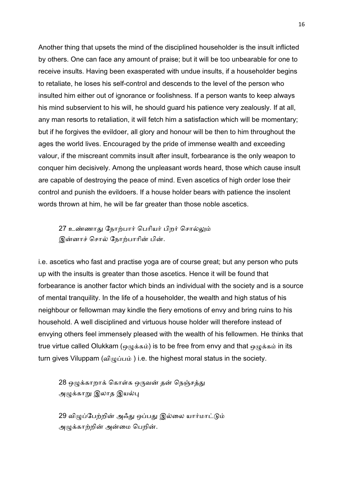Another thing that upsets the mind of the disciplined householder is the insult inflicted by others. One can face any amount of praise; but it will be too unbearable for one to receive insults. Having been exasperated with undue insults, if a householder begins to retaliate, he loses his self-control and descends to the level of the person who insulted him either out of ignorance or foolishness. If a person wants to keep always his mind subservient to his will, he should guard his patience very zealously. If at all, any man resorts to retaliation, it will fetch him a satisfaction which will be momentary; but if he forgives the evildoer, all glory and honour will be then to him throughout the ages the world lives. Encouraged by the pride of immense wealth and exceeding valour, if the miscreant commits insult after insult, forbearance is the only weapon to conquer him decisively. Among the unpleasant words heard, those which cause insult are capable of destroying the peace of mind. Even ascetics of high order lose their control and punish the evildoers. If a house holder bears with patience the insolent words thrown at him, he will be far greater than those noble ascetics.

27 உண்ணாது நோற்பார் பெரியர் பிறர் சொல்லும் இன்னாச் சொல் நோற்பாரின் பின்.

i.e. ascetics who fast and practise yoga are of course great; but any person who puts up with the insults is greater than those ascetics. Hence it will be found that forbearance is another factor which binds an individual with the society and is a source of mental tranquility. In the life of a householder, the wealth and high status of his neighbour or fellowman may kindle the fiery emotions of envy and bring ruins to his household. A well disciplined and virtuous house holder will therefore instead of envying others feel immensely pleased with the wealth of his fellowmen. He thinks that true virtue called Olukkam (ஒழுக்கம்) is to be free from envy and that ஒழுக்கம் in its turn gives Viluppam (விழுப்பம்) i.e. the highest moral status in the society.

28 ஒழுக்காறாக் கொள்க ஒருவன் தன் நெஞ்சத்து அழுக்காறு இலாத இயல்பு

29 விழுப்பேற்றின் அஃது ஒப்பது இல்லை யார்மாட்டும் அழுக்காற்றின் அன்மை பெறின்.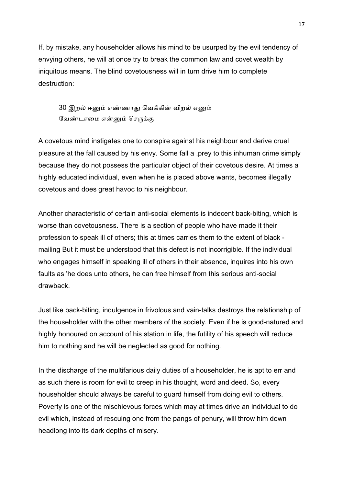If, by mistake, any householder allows his mind to be usurped by the evil tendency of envying others, he will at once try to break the common law and covet wealth by iniquitous means. The blind covetousness will in turn drive him to complete destruction:

30 இறல் ஈனும் எண்ணாது வெஃகின் விறல் எனும் வேண்டாமை என்னும் செருக்கு

A covetous mind instigates one to conspire against his neighbour and derive cruel pleasure at the fall caused by his envy. Some fall a .prey to this inhuman crime simply because they do not possess the particular object of their covetous desire. At times a highly educated individual, even when he is placed above wants, becomes illegally covetous and does great havoc to his neighbour.

Another characteristic of certain anti-social elements is indecent back-biting, which is worse than covetousness. There is a section of people who have made it their profession to speak ill of others; this at times carries them to the extent of black mailing But it must be understood that this defect is not incorrigible. If the individual who engages himself in speaking ill of others in their absence, inquires into his own faults as 'he does unto others, he can free himself from this serious anti-social drawback.

Just like back-biting, indulgence in frivolous and vain-talks destroys the relationship of the householder with the other members of the society. Even if he is good-natured and highly honoured on account of his station in life, the futility of his speech will reduce him to nothing and he will be neglected as good for nothing.

In the discharge of the multifarious daily duties of a householder, he is apt to err and as such there is room for evil to creep in his thought, word and deed. So, every householder should always be careful to guard himself from doing evil to others. Poverty is one of the mischievous forces which may at times drive an individual to do evil which, instead of rescuing one from the pangs of penury, will throw him down headlong into its dark depths of misery.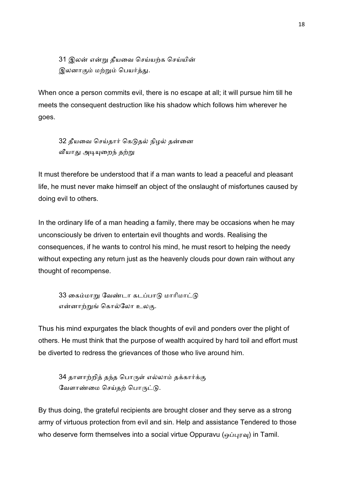31 இலன் என்று தீயவை செய்யற்க செய்யின் இலனாகும் மற்றும் பெயர்த்து.

When once a person commits evil, there is no escape at all; it will pursue him till he meets the consequent destruction like his shadow which follows him wherever he goes.

32 தீயவை செய்தார் கெடுதல் நிழல் தன்னை வீயாது அடியுறைந் தற்று

It must therefore be understood that if a man wants to lead a peaceful and pleasant life, he must never make himself an object of the onslaught of misfortunes caused by doing evil to others.

In the ordinary life of a man heading a family, there may be occasions when he may unconsciously be driven to entertain evil thoughts and words. Realising the consequences, if he wants to control his mind, he must resort to helping the needy without expecting any return just as the heavenly clouds pour down rain without any thought of recompense.

33 கைம்மாறு வேண்டா கடப்பாடு மாரிமாட்டு என்னாற்றுங் கொல்லோ உலகு.

Thus his mind expurgates the black thoughts of evil and ponders over the plight of others. He must think that the purpose of wealth acquired by hard toil and effort must be diverted to redress the grievances of those who live around him.

34 தாளாற்றித் தந்த பொருள் எல்லாம் தக்கார்க்கு வேளாண்மை செய்தற் பொருட்டு.

By thus doing, the grateful recipients are brought closer and they serve as a strong army of virtuous protection from evil and sin. Help and assistance Tendered to those who deserve form themselves into a social virtue Oppuravu (ஒப்புரவு) in Tamil.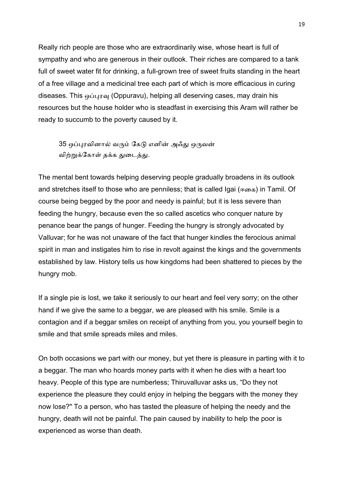Really rich people are those who are extraordinarily wise, whose heart is full of sympathy and who are generous in their outlook. Their riches are compared to a tank full of sweet water fit for drinking, a full-grown tree of sweet fruits standing in the heart of a free village and a medicinal tree each part of which is more efficacious in curing diseases. This ஒப்புரவு (Oppuravu), helping all deserving cases, may drain his resources but the house holder who is steadfast in exercising this Aram will rather be ready to succumb to the poverty caused by it.

35 ஒப்புரவினால் வரும் கேடு எனின் அஃது ஒருவன் விற்றுக்கோள் தக்க துடைத்து.

The mental bent towards helping deserving people gradually broadens in its outlook and stretches itself to those who are penniless; that is called Igai (ஈைக) in Tamil. Of course being begged by the poor and needy is painful; but it is less severe than feeding the hungry, because even the so called ascetics who conquer nature by penance bear the pangs of hunger. Feeding the hungry is strongly advocated by Valluvar; for he was not unaware of the fact that hunger kindles the ferocious animal spirit in man and instigates him to rise in revolt against the kings and the governments established by law. History tells us how kingdoms had been shattered to pieces by the hungry mob.

If a single pie is lost, we take it seriously to our heart and feel very sorry; on the other hand if we give the same to a beggar, we are pleased with his smile. Smile is a contagion and if a beggar smiles on receipt of anything from you, you yourself begin to smile and that smile spreads miles and miles.

On both occasions we part with our money, but yet there is pleasure in parting with it to a beggar. The man who hoards money parts with it when he dies with a heart too heavy. People of this type are numberless; Thiruvalluvar asks us, "Do they not experience the pleasure they could enjoy in helping the beggars with the money they now lose?" To a person, who has tasted the pleasure of helping the needy and the hungry, death will not be painful. The pain caused by inability to help the poor is experienced as worse than death.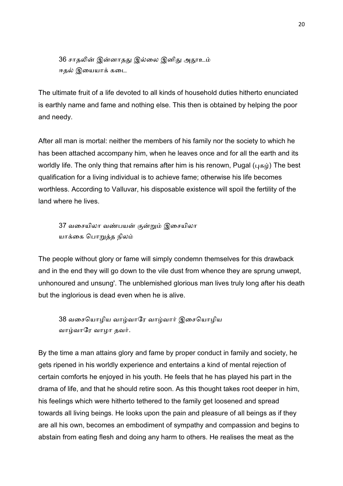36 சாதலின் இன்னாதது இல்லை இனிது அதூஉம் ஈதல் இயையாக் கடை

The ultimate fruit of a life devoted to all kinds of household duties hitherto enunciated is earthly name and fame and nothing else. This then is obtained by helping the poor and needy.

After all man is mortal: neither the members of his family nor the society to which he has been attached accompany him, when he leaves once and for all the earth and its worldly life. The only thing that remains after him is his renown, Pugal ( $\mu$ க $\dot{\mu}$ ) The best qualification for a living individual is to achieve fame; otherwise his life becomes worthless. According to Valluvar, his disposable existence will spoil the fertility of the land where he lives.

37 வசையிலா வண்பயன் குன்றும் இசையிலா யாக்கை பொறுத்த நிலம்

The people without glory or fame will simply condemn themselves for this drawback and in the end they will go down to the vile dust from whence they are sprung unwept, unhonoured and unsung'. The unblemished glorious man lives truly long after his death but the inglorious is dead even when he is alive.

38 வசையொழிய வாழ்வாரே வாழ்வார் இசையொழிய வாழ்வாரே வாழா தவர்.

By the time a man attains glory and fame by proper conduct in family and society, he gets ripened in his worldly experience and entertains a kind of mental rejection of certain comforts he enjoyed in his youth. He feels that he has played his part in the drama of life, and that he should retire soon. As this thought takes root deeper in him, his feelings which were hitherto tethered to the family get loosened and spread towards all living beings. He looks upon the pain and pleasure of all beings as if they are all his own, becomes an embodiment of sympathy and compassion and begins to abstain from eating flesh and doing any harm to others. He realises the meat as the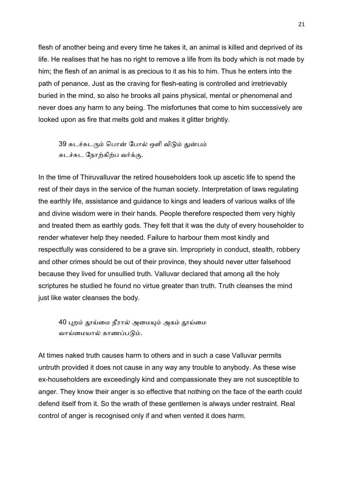flesh of another being and every time he takes it, an animal is killed and deprived of its life. He realises that he has no right to remove a life from its body which is not made by him; the flesh of an animal is as precious to it as his to him. Thus he enters into the path of penance. Just as the craving for flesh-eating is controlled and irretrievably buried in the mind, so also he brooks all pains physical, mental or phenomenal and never does any harm to any being. The misfortunes that come to him successively are looked upon as fire that melts gold and makes it glitter brightly.

39 சுடச்சுடரும் பொன் போல் ஒளி விடும் துன்பம் சுடச்சுட நோற்கிற்ப வர்க்கு.

In the time of Thiruvalluvar the retired householders took up ascetic life to spend the rest of their days in the service of the human society. Interpretation of laws regulating the earthly life, assistance and guidance to kings and leaders of various walks of life and divine wisdom were in their hands. People therefore respected them very highly and treated them as earthly gods. They felt that it was the duty of every householder to render whatever help they needed. Failure to harbour them most kindly and respectfully was considered to be a grave sin. Impropriety in conduct, stealth, robbery and other crimes should be out of their province, they should never utter falsehood because they lived for unsullied truth. Valluvar declared that among all the holy scriptures he studied he found no virtue greater than truth. Truth cleanses the mind just like water cleanses the body.

40 புறம் தூய்மை நீரால் அமையும் அகம் தூய்மை வாய்மையால் காணப்படும்.

At times naked truth causes harm to others and in such a case Valluvar permits untruth provided it does not cause in any way any trouble to anybody. As these wise ex-householders are exceedingly kind and compassionate they are not susceptible to anger. They know their anger is so effective that nothing on the face of the earth could defend itself from it. So the wrath of these gentlemen is always under restraint. Real control of anger is recognised only if and when vented it does harm.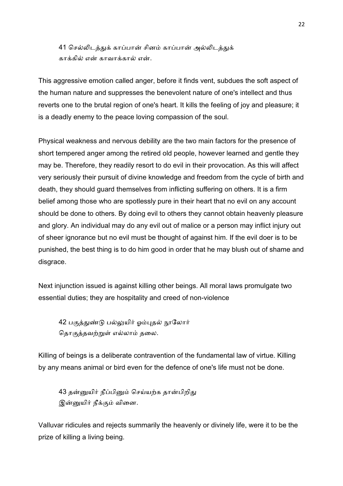41 செல்லிடத்துக் காப்பான் சினம் காப்பான் அல்லிடத்துக் காக்கில் என் காவாக்கால் என்.

This aggressive emotion called anger, before it finds vent, subdues the soft aspect of the human nature and suppresses the benevolent nature of one's intellect and thus reverts one to the brutal region of one's heart. It kills the feeling of joy and pleasure; it is a deadly enemy to the peace loving compassion of the soul.

Physical weakness and nervous debility are the two main factors for the presence of short tempered anger among the retired old people, however learned and gentle they may be. Therefore, they readily resort to do evil in their provocation. As this will affect very seriously their pursuit of divine knowledge and freedom from the cycle of birth and death, they should guard themselves from inflicting suffering on others. It is a firm belief among those who are spotlessly pure in their heart that no evil on any account should be done to others. By doing evil to others they cannot obtain heavenly pleasure and glory. An individual may do any evil out of malice or a person may inflict injury out of sheer ignorance but no evil must be thought of against him. If the evil doer is to be punished, the best thing is to do him good in order that he may blush out of shame and disgrace.

Next injunction issued is against killing other beings. All moral laws promulgate two essential duties; they are hospitality and creed of non-violence

42 பகுத்துண்டு பல்லுயிர் ஓம்புதல் நூலோர் தொகுத்தவற்றுள் எல்லாம் தலை.

Killing of beings is a deliberate contravention of the fundamental law of virtue. Killing by any means animal or bird even for the defence of one's life must not be done.

43 தன்னுயிர் நீப்பினும் செய்யற்க தான்பிறிது இன்னுயிர் நீக்கும் வினை.

Valluvar ridicules and rejects summarily the heavenly or divinely life, were it to be the prize of killing a living being.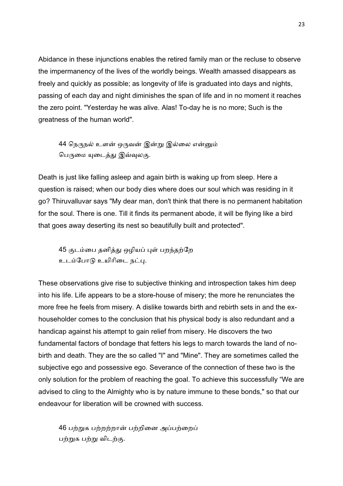Abidance in these injunctions enables the retired family man or the recluse to observe the impermanency of the lives of the worldly beings. Wealth amassed disappears as freely and quickly as possible; as longevity of life is graduated into days and nights, passing of each day and night diminishes the span of life and in no moment it reaches the zero point. "Yesterday he was alive. Alas! To-day he is no more; Such is the greatness of the human world".

44 நெருநல் உளன் ஒருவன் இன்று இல்லை என்னும் பெருமை யுடைத்து இவ்வுலகு.

Death is just like falling asleep and again birth is waking up from sleep. Here a question is raised; when our body dies where does our soul which was residing in it go? Thiruvalluvar says "My dear man, don't think that there is no permanent habitation for the soul. There is one. Till it finds its permanent abode, it will be flying like a bird that goes away deserting its nest so beautifully built and protected".

45 குடம்பை தனித்து ஒழியப் புள் பறந்தற்றே உடம்போடு உயிரிடை நட்பு.

These observations give rise to subjective thinking and introspection takes him deep into his life. Life appears to be a store-house of misery; the more he renunciates the more free he feels from misery. A dislike towards birth and rebirth sets in and the exhouseholder comes to the conclusion that his physical body is also redundant and a handicap against his attempt to gain relief from misery. He discovers the two fundamental factors of bondage that fetters his legs to march towards the land of nobirth and death. They are the so called "I" and "Mine". They are sometimes called the subjective ego and possessive ego. Severance of the connection of these two is the only solution for the problem of reaching the goal. To achieve this successfully "We are advised to cling to the Almighty who is by nature immune to these bonds," so that our endeavour for liberation will be crowned with success.

46 பற்றுக பற்றற்றான் பற்றினை அப்பற்றைப் பற்றுக பற்று விடற்கு.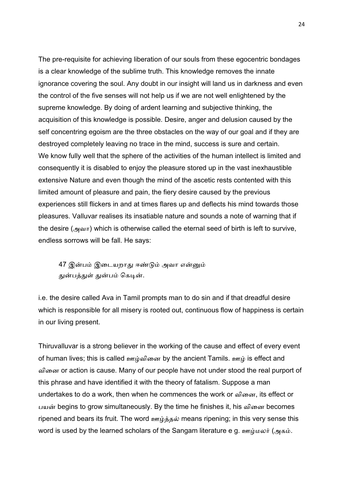The pre-requisite for achieving liberation of our souls from these egocentric bondages is a clear knowledge of the sublime truth. This knowledge removes the innate ignorance covering the soul. Any doubt in our insight will land us in darkness and even the control of the five senses will not help us if we are not well enlightened by the supreme knowledge. By doing of ardent learning and subjective thinking, the acquisition of this knowledge is possible. Desire, anger and delusion caused by the self concentring egoism are the three obstacles on the way of our goal and if they are destroyed completely leaving no trace in the mind, success is sure and certain. We know fully well that the sphere of the activities of the human intellect is limited and consequently it is disabled to enjoy the pleasure stored up in the vast inexhaustible extensive Nature and even though the mind of the ascetic rests contented with this limited amount of pleasure and pain, the fiery desire caused by the previous experiences still flickers in and at times flares up and deflects his mind towards those pleasures. Valluvar realises its insatiable nature and sounds a note of warning that if the desire (அவா) which is otherwise called the eternal seed of birth is left to survive, endless sorrows will be fall. He says:

47 இன்பம் இடையறாது ஈண்டும் அவா என்னும் துன்பத்துள் துன்பம் கெடின்.

i.e. the desire called Ava in Tamil prompts man to do sin and if that dreadful desire which is responsible for all misery is rooted out, continuous flow of happiness is certain in our living present.

Thiruvalluvar is a strong believer in the working of the cause and effect of every event of human lives; this is called ஊழ்வினை by the ancient Tamils. ஊழ் is effect and விைன or action is cause. Many of our people have not under stood the real purport of this phrase and have identified it with the theory of fatalism. Suppose a man undertakes to do a work, then when he commences the work or வினை, its effect or பயன் begins to grow simultaneously. By the time he finishes it, his வினை becomes ripened and bears its fruit. The word  $\omega$   $\psi$   $\delta$  means ripening; in this very sense this word is used by the learned scholars of the Sangam literature e g. ஊழ்மலர் (அகம்.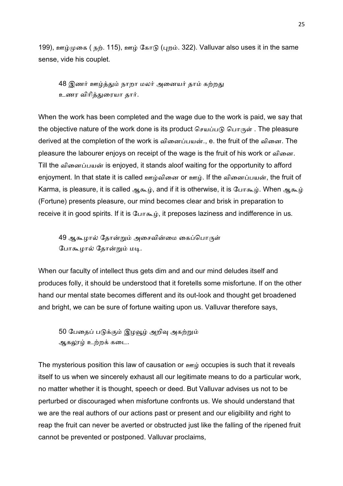199), ஊழ்முகை ( நற். 115), ஊழ் கோடு (புறம். 322). Valluvar also uses it in the same sense, vide his couplet.

48 இணர் ஊழ்த்தும் நாறா மலர் அனையர் தாம் கற்றது உணர விரித்துரையா தார்.

When the work has been completed and the wage due to the work is paid, we say that the objective nature of the work done is its product செயப்படு பொருள் . The pleasure derived at the completion of the work is வினைப்பயன்., e. the fruit of the வினை. The pleasure the labourer enjoys on receipt of the wage is the fruit of his work or வினை. Till the வினைப்பயன் is enjoyed, it stands aloof waiting for the opportunity to afford enjoyment. In that state it is called ஊழ்வினை or ஊழ். If the வினைப்பயன், the fruit of Karma, is pleasure, it is called ஆகூழ், and if it is otherwise, it is போகூழ். When ஆகூழ் (Fortune) presents pleasure, our mind becomes clear and brisk in preparation to receive it in good spirits. If it is  $GL(T,\mathbb{R})$ , it preposes laziness and indifference in us.

49 ஆகூழால் தோன்றும் அசைவின்மை கைப்பொருள் போகூழால் தோன்றும் மடி.

When our faculty of intellect thus gets dim and and our mind deludes itself and produces folly, it should be understood that it foretells some misfortune. If on the other hand our mental state becomes different and its out-look and thought get broadened and bright, we can be sure of fortune waiting upon us. Valluvar therefore says,

50 பேதைப் படுக்கும் இழவூழ் அறிவு அகற்றும் ஆகலூழ் உற்றக் கடை.

The mysterious position this law of causation or  $\omega$  occupies is such that it reveals itself to us when we sincerely exhaust all our legitimate means to do a particular work, no matter whether it is thought, speech or deed. But Valluvar advises us not to be perturbed or discouraged when misfortune confronts us. We should understand that we are the real authors of our actions past or present and our eligibility and right to reap the fruit can never be averted or obstructed just like the falling of the ripened fruit cannot be prevented or postponed. Valluvar proclaims,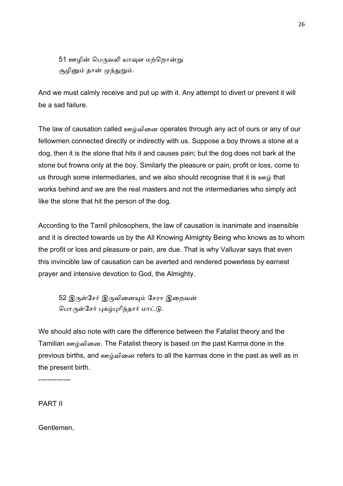51 ஊழின் பெருவலி யாவுள மற்றொன்று சூழினும் தான் முந்துறும்.

And we must calmly receive and put up with it. Any attempt to divert or prevent it will be a sad failure.

The law of causation called ஊழ்வினை operates through any act of ours or any of our fellowmen connected directly or indirectly with us. Suppose a boy throws a stone at a dog, then it is the stone that hits it and causes pain; but the dog does not bark at the stone but frowns only at the boy. Similarly the pleasure or pain, profit or loss, come to us through some intermediaries, and we also should recognise that it is  $\frac{1}{2}$  that works behind and we are the real masters and not the intermediaries who simply act like the stone that hit the person of the dog.

According to the Tamil philosophers, the law of causation is inanimate and insensible and it is directed towards us by the All Knowing Almighty Being who knows as to whom the profit or loss and pleasure or pain, are due. That is why Valluvar says that even this invincible law of causation can be averted and rendered powerless by earnest prayer and intensive devotion to God, the Almighty.

52 இருள்சேர் இருவினையும் சேரா இறைவன் பொருள்சேர் புகழ்புரிந்தார் மாட்டு.

We should also note with care the difference between the Fatalist theory and the Tamilian ஊழ்வினை. The Fatalist theory is based on the past Karma done in the previous births, and ஊழ்வினை refers to all the karmas done in the past as well as in the present birth.

--------------

PART II

Gentlemen,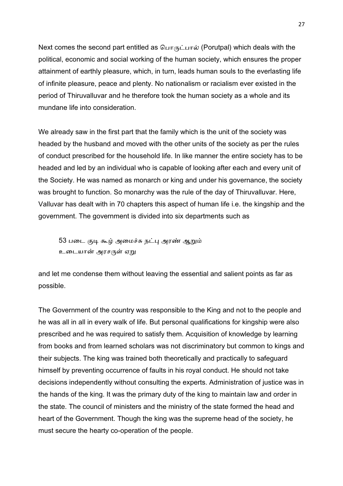Next comes the second part entitled as  $\Box$ <sub>IT</sub>  $\Diamond$  (Porutpal) which deals with the political, economic and social working of the human society, which ensures the proper attainment of earthly pleasure, which, in turn, leads human souls to the everlasting life of infinite pleasure, peace and plenty. No nationalism or racialism ever existed in the period of Thiruvalluvar and he therefore took the human society as a whole and its mundane life into consideration.

We already saw in the first part that the family which is the unit of the society was headed by the husband and moved with the other units of the society as per the rules of conduct prescribed for the household life. In like manner the entire society has to be headed and led by an individual who is capable of looking after each and every unit of the Society. He was named as monarch or king and under his governance, the society was brought to function. So monarchy was the rule of the day of Thiruvalluvar. Here, Valluvar has dealt with in 70 chapters this aspect of human life i.e. the kingship and the government. The government is divided into six departments such as

53 படை குடி கூழ் அமைச்சு நட்பு அரண் ஆறும் உடையான் அரசருள் ஏறு

and let me condense them without leaving the essential and salient points as far as possible.

The Government of the country was responsible to the King and not to the people and he was all in all in every walk of life. But personal qualifications for kingship were also prescribed and he was required to satisfy them. Acquisition of knowledge by learning from books and from learned scholars was not discriminatory but common to kings and their subjects. The king was trained both theoretically and practically to safeguard himself by preventing occurrence of faults in his royal conduct. He should not take decisions independently without consulting the experts. Administration of justice was in the hands of the king. It was the primary duty of the king to maintain law and order in the state. The council of ministers and the ministry of the state formed the head and heart of the Government. Though the king was the supreme head of the society, he must secure the hearty co-operation of the people.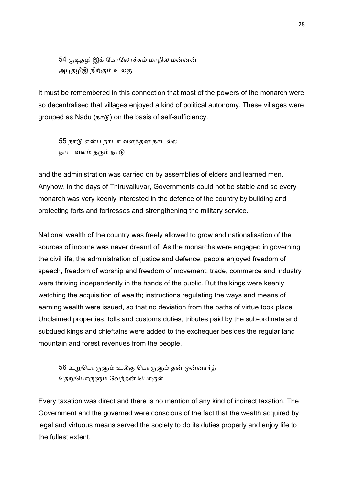54 குடிதழி இக் கோலோச்சும் மாநில மன்னன் அடிதழீஇ நிற்கும் உலகு

It must be remembered in this connection that most of the powers of the monarch were so decentralised that villages enjoyed a kind of political autonomy. These villages were grouped as Nadu (நா ) on the basis of self-sufficiency.

55 நாடு என்ப நாடா வளத்தன நாடல்ல நாட வளம் தரும் நாடு

and the administration was carried on by assemblies of elders and learned men. Anyhow, in the days of Thiruvalluvar, Governments could not be stable and so every monarch was very keenly interested in the defence of the country by building and protecting forts and fortresses and strengthening the military service.

National wealth of the country was freely allowed to grow and nationalisation of the sources of income was never dreamt of. As the monarchs were engaged in governing the civil life, the administration of justice and defence, people enjoyed freedom of speech, freedom of worship and freedom of movement; trade, commerce and industry were thriving independently in the hands of the public. But the kings were keenly watching the acquisition of wealth; instructions regulating the ways and means of earning wealth were issued, so that no deviation from the paths of virtue took place. Unclaimed properties, tolls and customs duties, tributes paid by the sub-ordinate and subdued kings and chieftains were added to the exchequer besides the regular land mountain and forest revenues from the people.

56 உறுபொருளும் உல்கு பொருளும் தன் ஒன்னார்த் தெறுபொருளும் வேந்தன் பொருள்

Every taxation was direct and there is no mention of any kind of indirect taxation. The Government and the governed were conscious of the fact that the wealth acquired by legal and virtuous means served the society to do its duties properly and enjoy life to the fullest extent.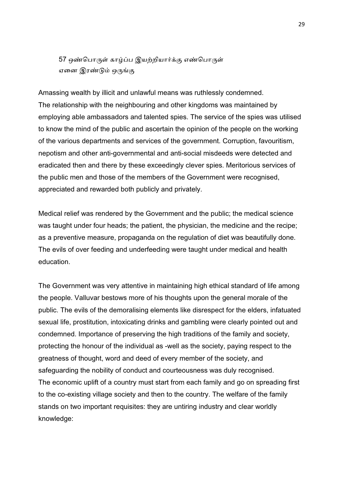57 ஒண்பொருள் காழ்ப்ப இயற்றியார்க்கு எண்பொருள் ஏனை இரண்டும் ஒருங்கு

Amassing wealth by illicit and unlawful means was ruthlessly condemned. The relationship with the neighbouring and other kingdoms was maintained by employing able ambassadors and talented spies. The service of the spies was utilised to know the mind of the public and ascertain the opinion of the people on the working of the various departments and services of the government. Corruption, favouritism, nepotism and other anti-governmental and anti-social misdeeds were detected and eradicated then and there by these exceedingly clever spies. Meritorious services of the public men and those of the members of the Government were recognised, appreciated and rewarded both publicly and privately.

Medical relief was rendered by the Government and the public; the medical science was taught under four heads; the patient, the physician, the medicine and the recipe; as a preventive measure, propaganda on the regulation of diet was beautifully done. The evils of over feeding and underfeeding were taught under medical and health education.

The Government was very attentive in maintaining high ethical standard of life among the people. Valluvar bestows more of his thoughts upon the general morale of the public. The evils of the demoralising elements like disrespect for the elders, infatuated sexual life, prostitution, intoxicating drinks and gambling were clearly pointed out and condemned. Importance of preserving the high traditions of the family and society, protecting the honour of the individual as -well as the society, paying respect to the greatness of thought, word and deed of every member of the society, and safeguarding the nobility of conduct and courteousness was duly recognised. The economic uplift of a country must start from each family and go on spreading first to the co-existing village society and then to the country. The welfare of the family stands on two important requisites: they are untiring industry and clear worldly knowledge: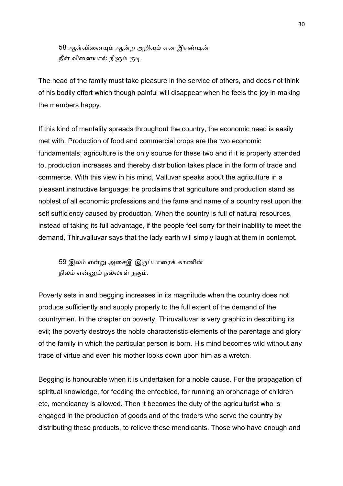58 ஆள்வினையும் ஆன்ற அறிவும் என இரண்டின் நீள் வினையால் நீளும் குடி.

The head of the family must take pleasure in the service of others, and does not think of his bodily effort which though painful will disappear when he feels the joy in making the members happy.

If this kind of mentality spreads throughout the country, the economic need is easily met with. Production of food and commercial crops are the two economic fundamentals; agriculture is the only source for these two and if it is properly attended to, production increases and thereby distribution takes place in the form of trade and commerce. With this view in his mind, Valluvar speaks about the agriculture in a pleasant instructive language; he proclaims that agriculture and production stand as noblest of all economic professions and the fame and name of a country rest upon the self sufficiency caused by production. When the country is full of natural resources, instead of taking its full advantage, if the people feel sorry for their inability to meet the demand, Thiruvalluvar says that the lady earth will simply laugh at them in contempt.

59 இலம் என்று அசைஇ இருப்பாரைக் காணின் நிலம் என்னும் நல்லாள் நகும்.

Poverty sets in and begging increases in its magnitude when the country does not produce sufficiently and supply properly to the full extent of the demand of the countrymen. In the chapter on poverty, Thiruvalluvar is very graphic in describing its evil; the poverty destroys the noble characteristic elements of the parentage and glory of the family in which the particular person is born. His mind becomes wild without any trace of virtue and even his mother looks down upon him as a wretch.

Begging is honourable when it is undertaken for a noble cause. For the propagation of spiritual knowledge, for feeding the enfeebled, for running an orphanage of children etc, mendicancy is allowed. Then it becomes the duty of the agriculturist who is engaged in the production of goods and of the traders who serve the country by distributing these products, to relieve these mendicants. Those who have enough and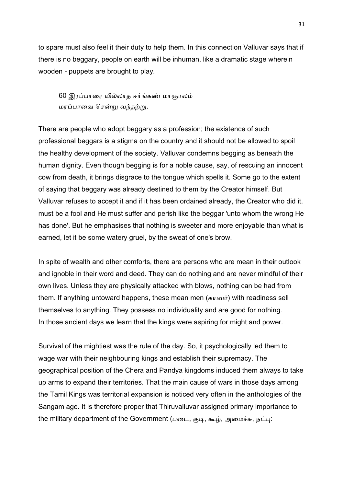to spare must also feel it their duty to help them. In this connection Valluvar says that if there is no beggary, people on earth will be inhuman, like a dramatic stage wherein wooden - puppets are brought to play.

60 இரப்பாரை யில்லாக ஈர்ங்கண் மாஞாலம் மரப்பாவை சென்று வந்<u>தற்ற</u>ு.

There are people who adopt beggary as a profession; the existence of such professional beggars is a stigma on the country and it should not be allowed to spoil the healthy development of the society. Valluvar condemns begging as beneath the human dignity. Even though begging is for a noble cause, say, of rescuing an innocent cow from death, it brings disgrace to the tongue which spells it. Some go to the extent of saying that beggary was already destined to them by the Creator himself. But Valluvar refuses to accept it and if it has been ordained already, the Creator who did it. must be a fool and He must suffer and perish like the beggar 'unto whom the wrong He has done'. But he emphasises that nothing is sweeter and more enjoyable than what is earned, let it be some watery gruel, by the sweat of one's brow.

In spite of wealth and other comforts, there are persons who are mean in their outlook and ignoble in their word and deed. They can do nothing and are never mindful of their own lives. Unless they are physically attacked with blows, nothing can be had from them. If anything untoward happens, these mean men (கயவர்) with readiness sell themselves to anything. They possess no individuality and are good for nothing. In those ancient days we learn that the kings were aspiring for might and power.

Survival of the mightiest was the rule of the day. So, it psychologically led them to wage war with their neighbouring kings and establish their supremacy. The geographical position of the Chera and Pandya kingdoms induced them always to take up arms to expand their territories. That the main cause of wars in those days among the Tamil Kings was territorial expansion is noticed very often in the anthologies of the Sangam age. It is therefore proper that Thiruvalluvar assigned primary importance to the military department of the Government (படை, குடி, கூழ், அமைச்சு, நட்பு: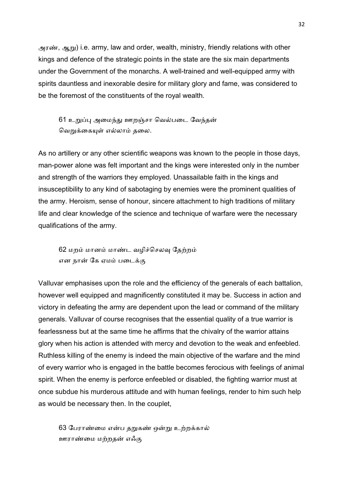அரண், ஆறு) i.e. army, law and order, wealth, ministry, friendly relations with other kings and defence of the strategic points in the state are the six main departments under the Government of the monarchs. A well-trained and well-equipped army with spirits dauntless and inexorable desire for military glory and fame, was considered to be the foremost of the constituents of the royal wealth.

61 உறுப்பு அமைந்து ஊறஞ்சா வெல்படை வேந்தன் வெறுக்கையுள் எல்லாம் தலை.

As no artillery or any other scientific weapons was known to the people in those days, man-power alone was felt important and the kings were interested only in the number and strength of the warriors they employed. Unassailable faith in the kings and insusceptibility to any kind of sabotaging by enemies were the prominent qualities of the army. Heroism, sense of honour, sincere attachment to high traditions of military life and clear knowledge of the science and technique of warfare were the necessary qualifications of the army.

62 மறம் மானம் மாண்ட வழிச்செலவு தேற்றம் என நான் கே ஏமம் படைக்கு

Valluvar emphasises upon the role and the efficiency of the generals of each battalion, however well equipped and magnificently constituted it may be. Success in action and victory in defeating the army are dependent upon the lead or command of the military generals. Valluvar of course recognises that the essential quality of a true warrior is fearlessness but at the same time he affirms that the chivalry of the warrior attains glory when his action is attended with mercy and devotion to the weak and enfeebled. Ruthless killing of the enemy is indeed the main objective of the warfare and the mind of every warrior who is engaged in the battle becomes ferocious with feelings of animal spirit. When the enemy is perforce enfeebled or disabled, the fighting warrior must at once subdue his murderous attitude and with human feelings, render to him such help as would be necessary then. In the couplet,

63 பேராண்மை என்ப தறுகண் ஒன்று உற்றக்கால் ஊராண்மை மற்றதன் எஃகு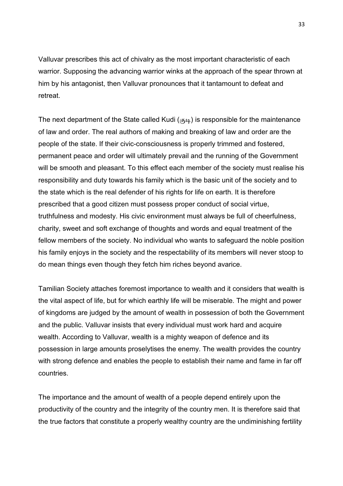Valluvar prescribes this act of chivalry as the most important characteristic of each warrior. Supposing the advancing warrior winks at the approach of the spear thrown at him by his antagonist, then Valluvar pronounces that it tantamount to defeat and retreat.

The next department of the State called Kudi ( $\sigma$ <sup>1</sup>) is responsible for the maintenance of law and order. The real authors of making and breaking of law and order are the people of the state. If their civic-consciousness is properly trimmed and fostered, permanent peace and order will ultimately prevail and the running of the Government will be smooth and pleasant. To this effect each member of the society must realise his responsibility and duty towards his family which is the basic unit of the society and to the state which is the real defender of his rights for life on earth. It is therefore prescribed that a good citizen must possess proper conduct of social virtue, truthfulness and modesty. His civic environment must always be full of cheerfulness, charity, sweet and soft exchange of thoughts and words and equal treatment of the fellow members of the society. No individual who wants to safeguard the noble position his family enjoys in the society and the respectability of its members will never stoop to do mean things even though they fetch him riches beyond avarice.

Tamilian Society attaches foremost importance to wealth and it considers that wealth is the vital aspect of life, but for which earthly life will be miserable. The might and power of kingdoms are judged by the amount of wealth in possession of both the Government and the public. Valluvar insists that every individual must work hard and acquire wealth. According to Valluvar, wealth is a mighty weapon of defence and its possession in large amounts proselytises the enemy. The wealth provides the country with strong defence and enables the people to establish their name and fame in far off countries.

The importance and the amount of wealth of a people depend entirely upon the productivity of the country and the integrity of the country men. It is therefore said that the true factors that constitute a properly wealthy country are the undiminishing fertility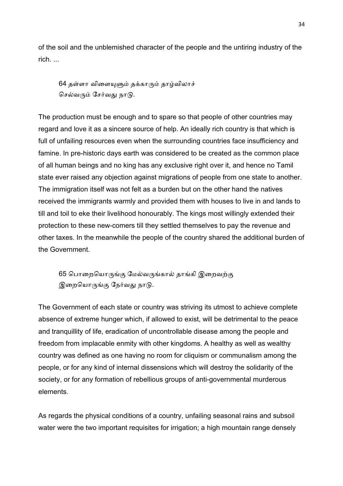of the soil and the unblemished character of the people and the untiring industry of the rich. ...

 $64$  தள்ளா விளையுளும் தக்காரும் தாழ்விலாச் செல்வரும் சேர்வது நாடு.

The production must be enough and to spare so that people of other countries may regard and love it as a sincere source of help. An ideally rich country is that which is full of unfailing resources even when the surrounding countries face insufficiency and famine. In pre-historic days earth was considered to be created as the common place of all human beings and no king has any exclusive right over it, and hence no Tamil state ever raised any objection against migrations of people from one state to another. The immigration itself was not felt as a burden but on the other hand the natives received the immigrants warmly and provided them with houses to live in and lands to till and toil to eke their livelihood honourably. The kings most willingly extended their protection to these new-comers till they settled themselves to pay the revenue and other taxes. In the meanwhile the people of the country shared the additional burden of the Government.

65 பொறையொருங்கு மேல்வருங்கால் தாங்கி இறைவற்கு இறையொருங்கு நேர்வது நாடு.

The Government of each state or country was striving its utmost to achieve complete absence of extreme hunger which, if allowed to exist, will be detrimental to the peace and tranquillity of life, eradication of uncontrollable disease among the people and freedom from implacable enmity with other kingdoms. A healthy as well as wealthy country was defined as one having no room for cliquism or communalism among the people, or for any kind of internal dissensions which will destroy the solidarity of the society, or for any formation of rebellious groups of anti-governmental murderous elements.

As regards the physical conditions of a country, unfailing seasonal rains and subsoil water were the two important requisites for irrigation; a high mountain range densely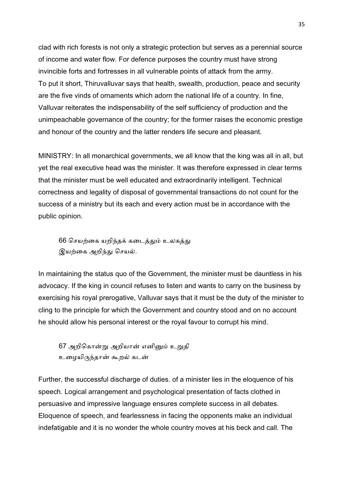clad with rich forests is not only a strategic protection but serves as a perennial source of income and water flow. For defence purposes the country must have strong invincible forts and fortresses in all vulnerable points of attack from the army. To put it short, Thiruvalluvar says that health, swealth, production, peace and security are the five vinds of ornaments which adorn the national life of a country. In fine, Valluvar reiterates the indispensability of the self sufficiency of production and the unimpeachable governance of the country; for the former raises the economic prestige and honour of the country and the latter renders life secure and pleasant.

MINISTRY: In all monarchical governments, we all know that the king was all in all, but yet the real executive head was the minister. It was therefore expressed in clear terms that the minister must be well educated and extraordinarily intelligent. Technical correctness and legality of disposal of governmental transactions do not count for the success of a ministry but its each and every action must be in accordance with the public opinion.

66 செயற்கை யறிந்தக் கடைத்தும் உலகத்து இயற்கை அறிந்து செயல்.

In maintaining the status quo of the Government, the minister must be dauntless in his advocacy. If the king in council refuses to listen and wants to carry on the business by exercising his royal prerogative, Valluvar says that it must be the duty of the minister to cling to the principle for which the Government and country stood and on no account he should allow his personal interest or the royal favour to corrupt his mind.

67 அறிகொன்று அறியான் எனினும் உறுதி உழையிருந்தான் கூறல் கடன்

Further, the successful discharge of duties. of a minister lies in the eloquence of his speech. Logical arrangement and psychological presentation of facts clothed in persuasive and impressive language ensures complete success in all debates. Eloquence of speech, and fearlessness in facing the opponents make an individual indefatigable and it is no wonder the whole country moves at his beck and call. The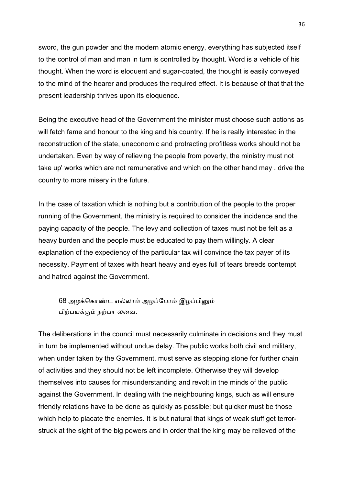sword, the gun powder and the modern atomic energy, everything has subjected itself to the control of man and man in turn is controlled by thought. Word is a vehicle of his thought. When the word is eloquent and sugar-coated, the thought is easily conveyed to the mind of the hearer and produces the required effect. It is because of that that the present leadership thrives upon its eloquence.

Being the executive head of the Government the minister must choose such actions as will fetch fame and honour to the king and his country. If he is really interested in the reconstruction of the state, uneconomic and protracting profitless works should not be undertaken. Even by way of relieving the people from poverty, the ministry must not take up' works which are not remunerative and which on the other hand may . drive the country to more misery in the future.

In the case of taxation which is nothing but a contribution of the people to the proper running of the Government, the ministry is required to consider the incidence and the paying capacity of the people. The levy and collection of taxes must not be felt as a heavy burden and the people must be educated to pay them willingly. A clear explanation of the expediency of the particular tax will convince the tax payer of its necessity. Payment of taxes with heart heavy and eyes full of tears breeds contempt and hatred against the Government.

68 அமக்கொண்ட எல்லாம் அழப்போம் இழப்பினும் பிற்பயக்கும் நற்பா லவை.

The deliberations in the council must necessarily culminate in decisions and they must in turn be implemented without undue delay. The public works both civil and military, when under taken by the Government, must serve as stepping stone for further chain of activities and they should not be left incomplete. Otherwise they will develop themselves into causes for misunderstanding and revolt in the minds of the public against the Government. In dealing with the neighbouring kings, such as will ensure friendly relations have to be done as quickly as possible; but quicker must be those which help to placate the enemies. It is but natural that kings of weak stuff get terrorstruck at the sight of the big powers and in order that the king may be relieved of the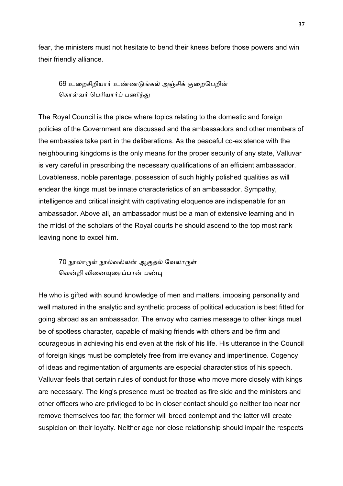fear, the ministers must not hesitate to bend their knees before those powers and win their friendly alliance.

69 உறைசிறியார் உண்ணடுங்கல் அஞ்சிக் குறைபெறின் கொள்வர் பெரியார்ப் பணிந்து

The Royal Council is the place where topics relating to the domestic and foreign policies of the Government are discussed and the ambassadors and other members of the embassies take part in the deliberations. As the peaceful co-existence with the neighbouring kingdoms is the only means for the proper security of any state, Valluvar is very careful in prescribing the necessary qualifications of an efficient ambassador. Lovableness, noble parentage, possession of such highly polished qualities as will endear the kings must be innate characteristics of an ambassador. Sympathy, intelligence and critical insight with captivating eloquence are indispenable for an ambassador. Above all, an ambassador must be a man of extensive learning and in the midst of the scholars of the Royal courts he should ascend to the top most rank leaving none to excel him.

70 நூலாருள் நூல்வல்லன் ஆகுதல் வேலாருள் வென்றி வினையுரைப்பான் பண்பு

He who is gifted with sound knowledge of men and matters, imposing personality and well matured in the analytic and synthetic process of political education is best fitted for going abroad as an ambassador. The envoy who carries message to other kings must be of spotless character, capable of making friends with others and be firm and courageous in achieving his end even at the risk of his life. His utterance in the Council of foreign kings must be completely free from irrelevancy and impertinence. Cogency of ideas and regimentation of arguments are especial characteristics of his speech. Valluvar feels that certain rules of conduct for those who move more closely with kings are necessary. The king's presence must be treated as fire side and the ministers and other officers who are privileged to be in closer contact should go neither too near nor remove themselves too far; the former will breed contempt and the latter will create suspicion on their loyalty. Neither age nor close relationship should impair the respects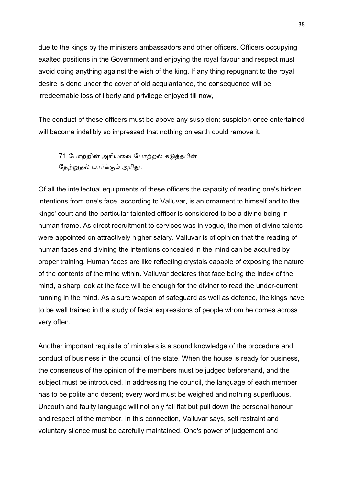due to the kings by the ministers ambassadors and other officers. Officers occupying exalted positions in the Government and enjoying the royal favour and respect must avoid doing anything against the wish of the king. If any thing repugnant to the royal desire is done under the cover of old acquiantance, the consequence will be irredeemable loss of liberty and privilege enjoyed till now,

The conduct of these officers must be above any suspicion; suspicion once entertained will become indelibly so impressed that nothing on earth could remove it.

71 போற்றின் அரியவை போற்றல் கடுத்தபின் தேற்றுதல் யார்க்கும் அரிது.

Of all the intellectual equipments of these officers the capacity of reading one's hidden intentions from one's face, according to Valluvar, is an ornament to himself and to the kings' court and the particular talented officer is considered to be a divine being in human frame. As direct recruitment to services was in vogue, the men of divine talents were appointed on attractively higher salary. Valluvar is of opinion that the reading of human faces and divining the intentions concealed in the mind can be acquired by proper training. Human faces are like reflecting crystals capable of exposing the nature of the contents of the mind within. Valluvar declares that face being the index of the mind, a sharp look at the face will be enough for the diviner to read the under-current running in the mind. As a sure weapon of safeguard as well as defence, the kings have to be well trained in the study of facial expressions of people whom he comes across very often.

Another important requisite of ministers is a sound knowledge of the procedure and conduct of business in the council of the state. When the house is ready for business, the consensus of the opinion of the members must be judged beforehand, and the subject must be introduced. In addressing the council, the language of each member has to be polite and decent; every word must be weighed and nothing superfluous. Uncouth and faulty language will not only fall flat but pull down the personal honour and respect of the member. In this connection, Valluvar says, self restraint and voluntary silence must be carefully maintained. One's power of judgement and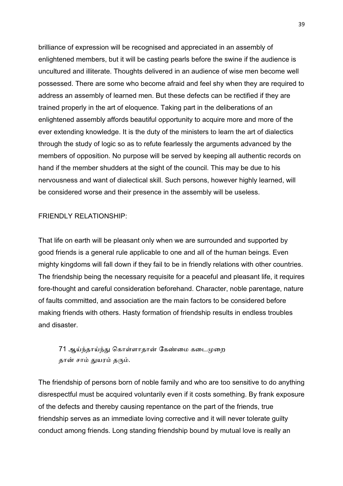brilliance of expression will be recognised and appreciated in an assembly of enlightened members, but it will be casting pearls before the swine if the audience is uncultured and illiterate. Thoughts delivered in an audience of wise men become well possessed. There are some who become afraid and feel shy when they are required to address an assembly of learned men. But these defects can be rectified if they are trained properly in the art of eloquence. Taking part in the deliberations of an enlightened assembly affords beautiful opportunity to acquire more and more of the ever extending knowledge. It is the duty of the ministers to learn the art of dialectics through the study of logic so as to refute fearlessly the arguments advanced by the members of opposition. No purpose will be served by keeping all authentic records on hand if the member shudders at the sight of the council. This may be due to his nervousness and want of dialectical skill. Such persons, however highly learned, will be considered worse and their presence in the assembly will be useless.

## FRIENDLY RELATIONSHIP:

That life on earth will be pleasant only when we are surrounded and supported by good friends is a general rule applicable to one and all of the human beings. Even mighty kingdoms will fall down if they fail to be in friendly relations with other countries. The friendship being the necessary requisite for a peaceful and pleasant life, it requires fore-thought and careful consideration beforehand. Character, noble parentage, nature of faults committed, and association are the main factors to be considered before making friends with others. Hasty formation of friendship results in endless troubles and disaster.

# 71 ஆய்ந்தாய்ந்து கொள்ளாதான் கேண்மை கடைமுறை தான் சாம் துயரம் தரும்.

The friendship of persons born of noble family and who are too sensitive to do anything disrespectful must be acquired voluntarily even if it costs something. By frank exposure of the defects and thereby causing repentance on the part of the friends, true friendship serves as an immediate loving corrective and it will never tolerate guilty conduct among friends. Long standing friendship bound by mutual love is really an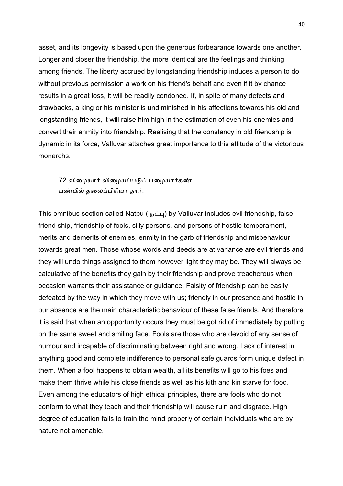asset, and its longevity is based upon the generous forbearance towards one another. Longer and closer the friendship, the more identical are the feelings and thinking among friends. The liberty accrued by longstanding friendship induces a person to do without previous permission a work on his friend's behalf and even if it by chance results in a great loss, it will be readily condoned. If, in spite of many defects and drawbacks, a king or his minister is undiminished in his affections towards his old and longstanding friends, it will raise him high in the estimation of even his enemies and convert their enmity into friendship. Realising that the constancy in old friendship is dynamic in its force, Valluvar attaches great importance to this attitude of the victorious monarchs.

72 விழையார் விழையப்படுப் பழையார்கண் பண்பில் தலைப்பிரியா தார்.

This omnibus section called Natpu ( $\overline{b}$  $\overline{L}$ ) by Valluvar includes evil friendship, false friend ship, friendship of fools, silly persons, and persons of hostile temperament, merits and demerits of enemies, enmity in the garb of friendship and misbehaviour towards great men. Those whose words and deeds are at variance are evil friends and they will undo things assigned to them however light they may be. They will always be calculative of the benefits they gain by their friendship and prove treacherous when occasion warrants their assistance or guidance. Falsity of friendship can be easily defeated by the way in which they move with us; friendly in our presence and hostile in our absence are the main characteristic behaviour of these false friends. And therefore it is said that when an opportunity occurs they must be got rid of immediately by putting on the same sweet and smiling face. Fools are those who are devoid of any sense of humour and incapable of discriminating between right and wrong. Lack of interest in anything good and complete indifference to personal safe guards form unique defect in them. When a fool happens to obtain wealth, all its benefits will go to his foes and make them thrive while his close friends as well as his kith and kin starve for food. Even among the educators of high ethical principles, there are fools who do not conform to what they teach and their friendship will cause ruin and disgrace. High degree of education fails to train the mind properly of certain individuals who are by nature not amenable.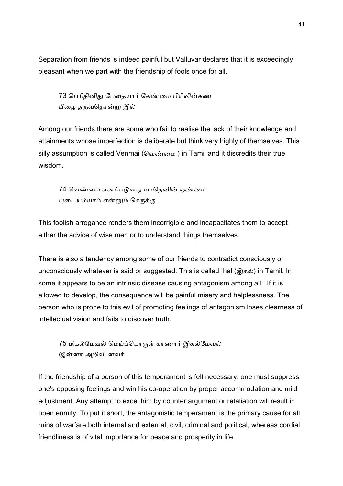Separation from friends is indeed painful but Valluvar declares that it is exceedingly pleasant when we part with the friendship of fools once for all.

73 பெரிதினிது பேதையார் கேண்மை பிரிவின்கண் பீழை தருவதொன்று இல்

Among our friends there are some who fail to realise the lack of their knowledge and attainments whose imperfection is deliberate but think very highly of themselves. This silly assumption is called Venmai (வெண்மை) in Tamil and it discredits their true wisdom.

74 வெண்மை எனப்படுவது யாதெனின் ஒண்மை யுடையம்யாம் என்னும் செருக்கு

This foolish arrogance renders them incorrigible and incapacitates them to accept either the advice of wise men or to understand things themselves.

There is also a tendency among some of our friends to contradict consciously or unconsciously whatever is said or suggested. This is called Ihal ( $\mathcal{R}$ கல்) in Tamil. In some it appears to be an intrinsic disease causing antagonism among all. If it is allowed to develop, the consequence will be painful misery and helplessness. The person who is prone to this evil of promoting feelings of antagonism loses clearness of intellectual vision and fails to discover truth.

75 மிகல்மேவல் மெய்ப்பொருள் காணார் இகல்மேவல் இன்னா அறிவி னவர்

If the friendship of a person of this temperament is felt necessary, one must suppress one's opposing feelings and win his co-operation by proper accommodation and mild adjustment. Any attempt to excel him by counter argument or retaliation will result in open enmity. To put it short, the antagonistic temperament is the primary cause for all ruins of warfare both internal and external, civil, criminal and political, whereas cordial friendliness is of vital importance for peace and prosperity in life.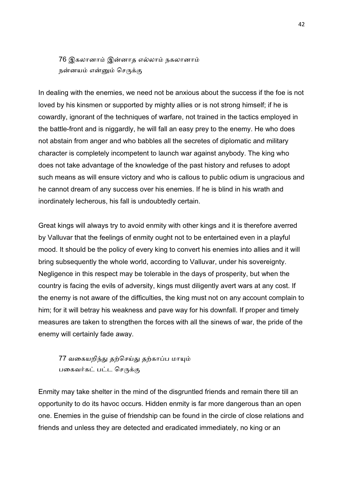76 இகலானாம் இன்னாத எல்லாம் நகலானாம் நன்னயம் என்னும் செருக்கு

In dealing with the enemies, we need not be anxious about the success if the foe is not loved by his kinsmen or supported by mighty allies or is not strong himself; if he is cowardly, ignorant of the techniques of warfare, not trained in the tactics employed in the battle-front and is niggardly, he will fall an easy prey to the enemy. He who does not abstain from anger and who babbles all the secretes of diplomatic and military character is completely incompetent to launch war against anybody. The king who does not take advantage of the knowledge of the past history and refuses to adopt such means as will ensure victory and who is callous to public odium is ungracious and he cannot dream of any success over his enemies. If he is blind in his wrath and inordinately lecherous, his fall is undoubtedly certain.

Great kings will always try to avoid enmity with other kings and it is therefore averred by Valluvar that the feelings of enmity ought not to be entertained even in a playful mood. It should be the policy of every king to convert his enemies into allies and it will bring subsequently the whole world, according to Valluvar, under his sovereignty. Negligence in this respect may be tolerable in the days of prosperity, but when the country is facing the evils of adversity, kings must diligently avert wars at any cost. If the enemy is not aware of the difficulties, the king must not on any account complain to him; for it will betray his weakness and pave way for his downfall. If proper and timely measures are taken to strengthen the forces with all the sinews of war, the pride of the enemy will certainly fade away.

77 வகையறிந்து தற்செய்து தற்காப்ப மாயும் பகைவர்கட் பட்ட செருக்கு

Enmity may take shelter in the mind of the disgruntled friends and remain there till an opportunity to do its havoc occurs. Hidden enmity is far more dangerous than an open one. Enemies in the guise of friendship can be found in the circle of close relations and friends and unless they are detected and eradicated immediately, no king or an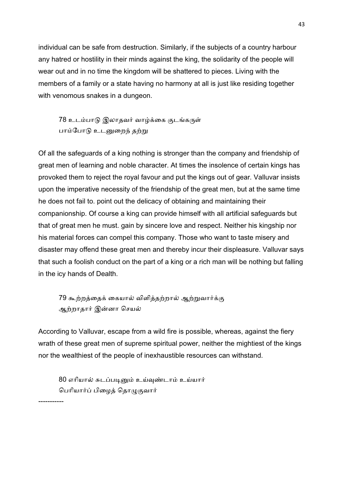individual can be safe from destruction. Similarly, if the subjects of a country harbour any hatred or hostility in their minds against the king, the solidarity of the people will wear out and in no time the kingdom will be shattered to pieces. Living with the members of a family or a state having no harmony at all is just like residing together with venomous snakes in a dungeon.

78 உடம்பாடு இலாதவர் வாழ்க்கை குடங்கருள் பாம்போடு உடனுறைந் தற்று

Of all the safeguards of a king nothing is stronger than the company and friendship of great men of learning and noble character. At times the insolence of certain kings has provoked them to reject the royal favour and put the kings out of gear. Valluvar insists upon the imperative necessity of the friendship of the great men, but at the same time he does not fail to. point out the delicacy of obtaining and maintaining their companionship. Of course a king can provide himself with all artificial safeguards but that of great men he must. gain by sincere love and respect. Neither his kingship nor his material forces can compel this company. Those who want to taste misery and disaster may offend these great men and thereby incur their displeasure. Valluvar says that such a foolish conduct on the part of a king or a rich man will be nothing but falling in the icy hands of Dealth.

79 கூற்றத்தைக் கையால் விளித்தற்றால் ஆற்றுவார்க்கு ஆற்றாதார் இன்னா செயல்

According to Valluvar, escape from a wild fire is possible, whereas, against the fiery wrath of these great men of supreme spiritual power, neither the mightiest of the kings nor the wealthiest of the people of inexhaustible resources can withstand.

80 எரியால் சுடப்படினும் உய்வுண்டாம் உய்யார் பெரியார்ப் பிழைத் தொழுகுவார்

-----------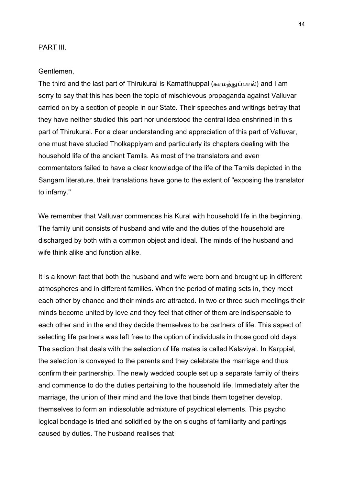## PART III.

#### Gentlemen,

The third and the last part of Thirukural is Kamatthuppal (காமத்துப்பால்) and I am sorry to say that this has been the topic of mischievous propaganda against Valluvar carried on by a section of people in our State. Their speeches and writings betray that they have neither studied this part nor understood the central idea enshrined in this part of Thirukural. For a clear understanding and appreciation of this part of Valluvar, one must have studied Tholkappiyam and particularly its chapters dealing with the household life of the ancient Tamils. As most of the translators and even commentators failed to have a clear knowledge of the life of the Tamils depicted in the Sangam literature, their translations have gone to the extent of "exposing the translator to infamy."

We remember that Valluvar commences his Kural with household life in the beginning. The family unit consists of husband and wife and the duties of the household are discharged by both with a common object and ideal. The minds of the husband and wife think alike and function alike.

It is a known fact that both the husband and wife were born and brought up in different atmospheres and in different families. When the period of mating sets in, they meet each other by chance and their minds are attracted. In two or three such meetings their minds become united by love and they feel that either of them are indispensable to each other and in the end they decide themselves to be partners of life. This aspect of selecting life partners was left free to the option of individuals in those good old days. The section that deals with the selection of life mates is called Kalaviyal. In Karppial, the selection is conveyed to the parents and they celebrate the marriage and thus confirm their partnership. The newly wedded couple set up a separate family of theirs and commence to do the duties pertaining to the household life. Immediately after the marriage, the union of their mind and the love that binds them together develop. themselves to form an indissoluble admixture of psychical elements. This psycho logical bondage is tried and solidified by the on sloughs of familiarity and partings caused by duties. The husband realises that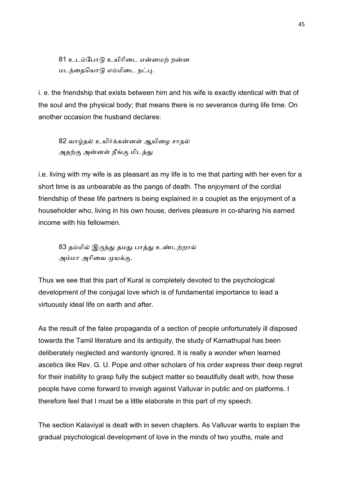81 உடம்போடு உயிரிடை என்னமற் றன்ன மடந்தையொடு எம்மிடை நட்பு.

i. e. the friendship that exists between him and his wife is exactly identical with that of the soul and the physical body; that means there is no severance during life time. On another occasion the husband declares:

82 வாழ்தல் உயிர்க்கன்னள் ஆயிழை சாதல் அதற்கு அன்னள் நீங்கு மிடத்து

i.e. living with my wife is as pleasant as my life is to me that parting with her even for a short time is as unbearable as the pangs of death. The enjoyment of the cordial friendship of these life partners is being explained in a couplet as the enjoyment of a householder who, living in his own house, derives pleasure in co-sharing his earned income with his fellowmen.

83 தம்மில் இருந்து தமது பாத்து உண்டற்றால் அம்மா அரிவை முயக்கு.

Thus we see that this part of Kural is completely devoted to the psychological development of the conjugal love which is of fundamental importance to lead a virtuously ideal life on earth and after.

As the result of the false propaganda of a section of people unfortunately ill disposed towards the Tamil literature and its antiquity, the study of Kamathupal has been deliberately neglected and wantonly ignored. It is really a wonder when learned ascetics like Rev. G. U. Pope and other scholars of his order express their deep regret for their inability to grasp fully the subject matter so beautifully dealt with, how these people have come forward to inveigh against Valluvar in public and on platforms. I therefore feel that I must be a little elaborate in this part of my speech.

The section Kalaviyal is dealt with in seven chapters. As Valluvar wants to explain the gradual psychological development of love in the minds of two youths, male and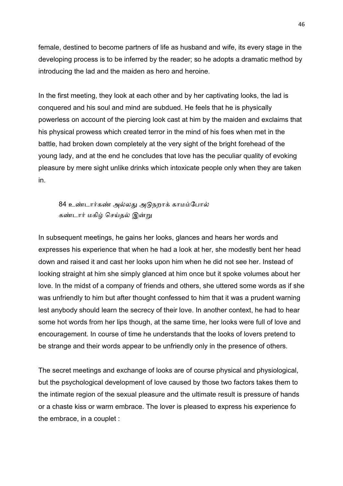female, destined to become partners of life as husband and wife, its every stage in the developing process is to be inferred by the reader; so he adopts a dramatic method by introducing the lad and the maiden as hero and heroine.

In the first meeting, they look at each other and by her captivating looks, the lad is conquered and his soul and mind are subdued. He feels that he is physically powerless on account of the piercing look cast at him by the maiden and exclaims that his physical prowess which created terror in the mind of his foes when met in the battle, had broken down completely at the very sight of the bright forehead of the young lady, and at the end he concludes that love has the peculiar quality of evoking pleasure by mere sight unlike drinks which intoxicate people only when they are taken in.

84 உண்டார்கண் அல்லது அடுநறாக் காமம்போல் கண்டார் மகிழ் செய்தல் இன்று

In subsequent meetings, he gains her looks, glances and hears her words and expresses his experience that when he had a look at her, she modestly bent her head down and raised it and cast her looks upon him when he did not see her. Instead of looking straight at him she simply glanced at him once but it spoke volumes about her love. In the midst of a company of friends and others, she uttered some words as if she was unfriendly to him but after thought confessed to him that it was a prudent warning lest anybody should learn the secrecy of their love. In another context, he had to hear some hot words from her lips though, at the same time, her looks were full of love and encouragement. In course of time he understands that the looks of lovers pretend to be strange and their words appear to be unfriendly only in the presence of others.

The secret meetings and exchange of looks are of course physical and physiological, but the psychological development of love caused by those two factors takes them to the intimate region of the sexual pleasure and the ultimate result is pressure of hands or a chaste kiss or warm embrace. The lover is pleased to express his experience fo the embrace, in a couplet :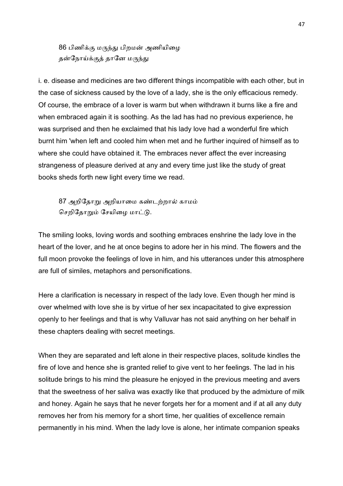86 பிணிக்கு மருந்து பிறமன் அணியிழை தன்நோய்க்குத் தானே மருந்து

i. e. disease and medicines are two different things incompatible with each other, but in the case of sickness caused by the love of a lady, she is the only efficacious remedy. Of course, the embrace of a lover is warm but when withdrawn it burns like a fire and when embraced again it is soothing. As the lad has had no previous experience, he was surprised and then he exclaimed that his lady love had a wonderful fire which burnt him 'when left and cooled him when met and he further inquired of himself as to where she could have obtained it. The embraces never affect the ever increasing strangeness of pleasure derived at any and every time just like the study of great books sheds forth new light every time we read.

87 அறிதோறு அறியாமை கண்டற்றால் காமம் செறிதோறும் சேயிழை மாட்டு.

The smiling looks, loving words and soothing embraces enshrine the lady love in the heart of the lover, and he at once begins to adore her in his mind. The flowers and the full moon provoke the feelings of love in him, and his utterances under this atmosphere are full of similes, metaphors and personifications.

Here a clarification is necessary in respect of the lady love. Even though her mind is over whelmed with love she is by virtue of her sex incapacitated to give expression openly to her feelings and that is why Valluvar has not said anything on her behalf in these chapters dealing with secret meetings.

When they are separated and left alone in their respective places, solitude kindles the fire of love and hence she is granted relief to give vent to her feelings. The lad in his solitude brings to his mind the pleasure he enjoyed in the previous meeting and avers that the sweetness of her saliva was exactly like that produced by the admixture of milk and honey. Again he says that he never forgets her for a moment and if at all any duty removes her from his memory for a short time, her qualities of excellence remain permanently in his mind. When the lady love is alone, her intimate companion speaks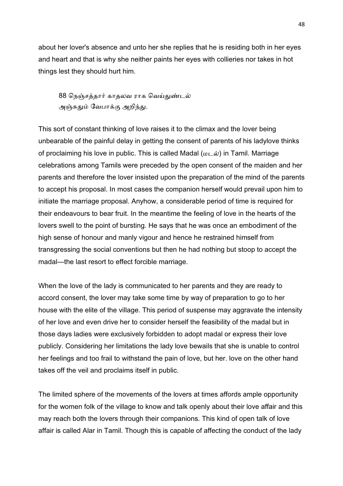about her lover's absence and unto her she replies that he is residing both in her eyes and heart and that is why she neither paints her eyes with collieries nor takes in hot things lest they should hurt him.

88 நெஞ்சத்தார் காதலவ ராக வெய்துண்டல் அஞ்சுதும் வேபாக்கு அறிந்து.

This sort of constant thinking of love raises it to the climax and the lover being unbearable of the painful delay in getting the consent of parents of his ladylove thinks of proclaiming his love in public. This is called Madal ( $\mu\in\mathcal{N}$ ) in Tamil. Marriage celebrations among Tamils were preceded by the open consent of the maiden and her parents and therefore the lover insisted upon the preparation of the mind of the parents to accept his proposal. In most cases the companion herself would prevail upon him to initiate the marriage proposal. Anyhow, a considerable period of time is required for their endeavours to bear fruit. In the meantime the feeling of love in the hearts of the lovers swell to the point of bursting. He says that he was once an embodiment of the high sense of honour and manly vigour and hence he restrained himself from transgressing the social conventions but then he had nothing but stoop to accept the madal—the last resort to effect forcible marriage.

When the love of the lady is communicated to her parents and they are ready to accord consent, the lover may take some time by way of preparation to go to her house with the elite of the village. This period of suspense may aggravate the intensity of her love and even drive her to consider herself the feasibility of the madal but in those days ladies were exclusively forbidden to adopt madal or express their love publicly. Considering her limitations the lady love bewails that she is unable to control her feelings and too frail to withstand the pain of love, but her. love on the other hand takes off the veil and proclaims itself in public.

The limited sphere of the movements of the lovers at times affords ample opportunity for the women folk of the village to know and talk openly about their love affair and this may reach both the lovers through their companions. This kind of open talk of love affair is called Alar in Tamil. Though this is capable of affecting the conduct of the lady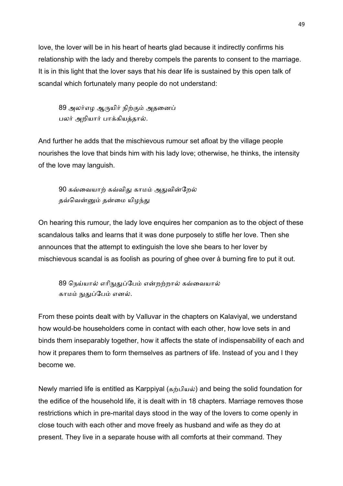love, the lover will be in his heart of hearts glad because it indirectly confirms his relationship with the lady and thereby compels the parents to consent to the marriage. It is in this light that the lover says that his dear life is sustained by this open talk of scandal which fortunately many people do not understand:

89 அலர்எம ஆருயிர் நிற்கும் அதனைப் பலர் அறியார் பாக்கியத்தால்.

And further he adds that the mischievous rumour set afloat by the village people nourishes the love that binds him with his lady love; otherwise, he thinks, the intensity of the love may languish.

90 கவ்வையாற் கவ்விது காமம் அதுவின்றேல் தவ்வென்னும் தன்மை யிழந்து

On hearing this rumour, the lady love enquires her companion as to the object of these scandalous talks and learns that it was done purposely to stifle her love. Then she announces that the attempt to extinguish the love she bears to her lover by mischievous scandal is as foolish as pouring of ghee over å burning fire to put it out.

89 நெய்யால் எரிநுதுப்பேம் என்றற்றால் கவ்வையால் காமம் நுதுப்பேம் எனல்.

From these points dealt with by Valluvar in the chapters on Kalaviyal, we understand how would-be householders come in contact with each other, how love sets in and binds them inseparably together, how it affects the state of indispensability of each and how it prepares them to form themselves as partners of life. Instead of you and I they become we.

Newly married life is entitled as Karppiyal (கற்பியல்) and being the solid foundation for the edifice of the household life, it is dealt with in 18 chapters. Marriage removes those restrictions which in pre-marital days stood in the way of the lovers to come openly in close touch with each other and move freely as husband and wife as they do at present. They live in a separate house with all comforts at their command. They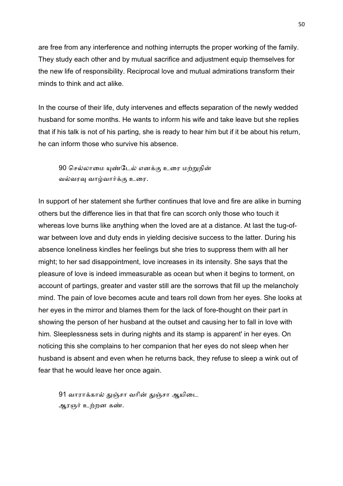are free from any interference and nothing interrupts the proper working of the family. They study each other and by mutual sacrifice and adjustment equip themselves for the new life of responsibility. Reciprocal love and mutual admirations transform their minds to think and act alike.

In the course of their life, duty intervenes and effects separation of the newly wedded husband for some months. He wants to inform his wife and take leave but she replies that if his talk is not of his parting, she is ready to hear him but if it be about his return, he can inform those who survive his absence.

90 செல்லாமை யுண்டேல் எனக்கு உரை மற்றுநின் வல்வரவு வாழ்வார்க்கு உரை.

In support of her statement she further continues that love and fire are alike in burning others but the difference lies in that that fire can scorch only those who touch it whereas love burns like anything when the loved are at a distance. At last the tug-ofwar between love and duty ends in yielding decisive success to the latter. During his absence loneliness kindles her feelings but she tries to suppress them with all her might; to her sad disappointment, love increases in its intensity. She says that the pleasure of love is indeed immeasurable as ocean but when it begins to torment, on account of partings, greater and vaster still are the sorrows that fill up the melancholy mind. The pain of love becomes acute and tears roll down from her eyes. She looks at her eyes in the mirror and blames them for the lack of fore-thought on their part in showing the person of her husband at the outset and causing her to fall in love with him. Sleeplessness sets in during nights and its stamp is apparent' in her eyes. On noticing this she complains to her companion that her eyes do not sleep when her husband is absent and even when he returns back, they refuse to sleep a wink out of fear that he would leave her once again.

91 வாராக்கால் துஞ்சா வரின் துஞ்சா ஆயிடை ஆரஞர் உற்றன கண்.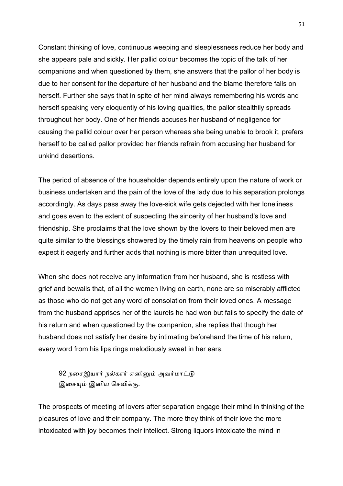Constant thinking of love, continuous weeping and sleeplessness reduce her body and she appears pale and sickly. Her pallid colour becomes the topic of the talk of her companions and when questioned by them, she answers that the pallor of her body is due to her consent for the departure of her husband and the blame therefore falls on herself. Further she says that in spite of her mind always remembering his words and herself speaking very eloquently of his loving qualities, the pallor stealthily spreads throughout her body. One of her friends accuses her husband of negligence for causing the pallid colour over her person whereas she being unable to brook it, prefers herself to be called pallor provided her friends refrain from accusing her husband for unkind desertions.

The period of absence of the householder depends entirely upon the nature of work or business undertaken and the pain of the love of the lady due to his separation prolongs accordingly. As days pass away the love-sick wife gets dejected with her loneliness and goes even to the extent of suspecting the sincerity of her husband's love and friendship. She proclaims that the love shown by the lovers to their beloved men are quite similar to the blessings showered by the timely rain from heavens on people who expect it eagerly and further adds that nothing is more bitter than unrequited love.

When she does not receive any information from her husband, she is restless with grief and bewails that, of all the women living on earth, none are so miserably afflicted as those who do not get any word of consolation from their loved ones. A message from the husband apprises her of the laurels he had won but fails to specify the date of his return and when questioned by the companion, she replies that though her husband does not satisfy her desire by intimating beforehand the time of his return, every word from his lips rings melodiously sweet in her ears.

92 நசைஇயார் நல்கார் எனினும் அவர்மாட்டு இசையும் இனிய செவிக்கு.

The prospects of meeting of lovers after separation engage their mind in thinking of the pleasures of love and their company. The more they think of their love the more intoxicated with joy becomes their intellect. Strong liquors intoxicate the mind in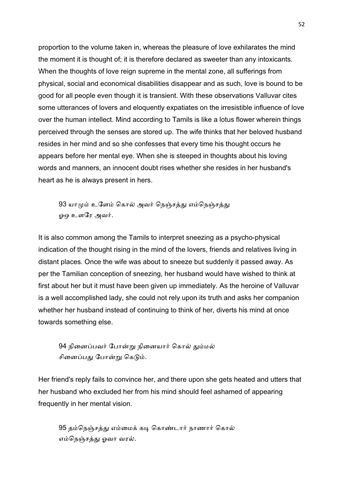proportion to the volume taken in, whereas the pleasure of love exhilarates the mind the moment it is thought of; it is therefore declared as sweeter than any intoxicants. When the thoughts of love reign supreme in the mental zone, all sufferings from physical, social and economical disabilities disappear and as such, love is bound to be good for all people even though it is transient. With these observations Valluvar cites some utterances of lovers and eloquently expatiates on the irresistible influence of love over the human intellect. Mind according to Tamils is like a lotus flower wherein things perceived through the senses are stored up. The wife thinks that her beloved husband resides in her mind and so she confesses that every time his thought occurs he appears before her mental eye. When she is steeped in thoughts about his loving words and manners, an innocent doubt rises whether she resides in her husband's heart as he is always present in hers.

93 யாமும் உளேம் கொல் அவர் நெஞ்சத்து எம்நெஞ்சத்து ஓஒ உளரே அவர்.

It is also common among the Tamils to interpret sneezing as a psycho-physical indication of the thought rising in the mind of the lovers, friends and relatives living in distant places. Once the wife was about to sneeze but suddenly it passed away. As per the Tamilian conception of sneezing, her husband would have wished to think at first about her but it must have been given up immediately. As the heroine of Valluvar is a well accomplished lady, she could not rely upon its truth and asks her companion whether her husband instead of continuing to think of her, diverts his mind at once towards something else.

94 நினைப்பவர் போன்று நினையார் கொல் தும்மல் சினைப்பது போன்று கெடும்.

Her friend's reply fails to convince her, and there upon she gets heated and utters that her husband who excluded her from his mind should feel ashamed of appearing frequently in her mental vision.

95 தம்நெஞ்சத்து எம்மைக் கடி கொண்டார் நாணார் கொல் எம்நெஞ்சத்து ஓவா வரல்.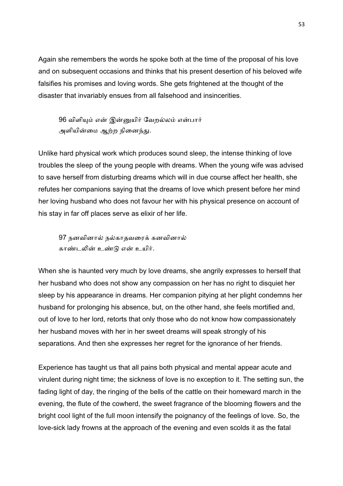Again she remembers the words he spoke both at the time of the proposal of his love and on subsequent occasions and thinks that his present desertion of his beloved wife falsifies his promises and loving words. She gets frightened at the thought of the disaster that invariably ensues from all falsehood and insincerities.

96 விளியும் என் இன்னுயிர் வேறல்லம் என்பார் அளியின்மை ஆற்ற நினைந்து.

Unlike hard physical work which produces sound sleep, the intense thinking of love troubles the sleep of the young people with dreams. When the young wife was advised to save herself from disturbing dreams which will in due course affect her health, she refutes her companions saying that the dreams of love which present before her mind her loving husband who does not favour her with his physical presence on account of his stay in far off places serve as elixir of her life.

97 நனவினால் நல்காதவரைக் கனவினால் காண்டலின் உண்டு என் உயிர்.

When she is haunted very much by love dreams, she angrily expresses to herself that her husband who does not show any compassion on her has no right to disquiet her sleep by his appearance in dreams. Her companion pitying at her plight condemns her husband for prolonging his absence, but, on the other hand, she feels mortified and, out of love to her lord, retorts that only those who do not know how compassionately her husband moves with her in her sweet dreams will speak strongly of his separations. And then she expresses her regret for the ignorance of her friends.

Experience has taught us that all pains both physical and mental appear acute and virulent during night time; the sickness of love is no exception to it. The setting sun, the fading light of day, the ringing of the bells of the cattle on their homeward march in the evening, the flute of the cowherd, the sweet fragrance of the blooming flowers and the bright cool light of the full moon intensify the poignancy of the feelings of love. So, the love-sick lady frowns at the approach of the evening and even scolds it as the fatal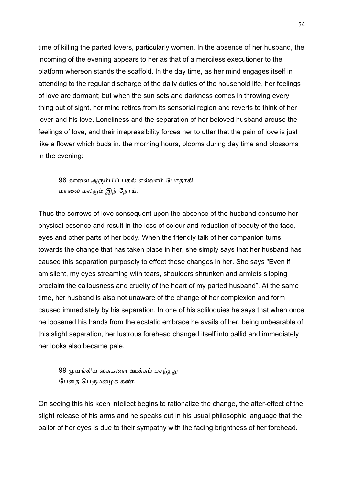time of killing the parted lovers, particularly women. In the absence of her husband, the incoming of the evening appears to her as that of a merciless executioner to the platform whereon stands the scaffold. In the day time, as her mind engages itself in attending to the regular discharge of the daily duties of the household life, her feelings of love are dormant; but when the sun sets and darkness comes in throwing every thing out of sight, her mind retires from its sensorial region and reverts to think of her lover and his love. Loneliness and the separation of her beloved husband arouse the feelings of love, and their irrepressibility forces her to utter that the pain of love is just like a flower which buds in. the morning hours, blooms during day time and blossoms in the evening:

98 காலை அரும்பிப் பகல் எல்லாம் போதாகி மாலை மலரும் இந் நோய்.

Thus the sorrows of love consequent upon the absence of the husband consume her physical essence and result in the loss of colour and reduction of beauty of the face, eyes and other parts of her body. When the friendly talk of her companion turns towards the change that has taken place in her, she simply says that her husband has caused this separation purposely to effect these changes in her. She says "Even if I am silent, my eyes streaming with tears, shoulders shrunken and armlets slipping proclaim the callousness and cruelty of the heart of my parted husband". At the same time, her husband is also not unaware of the change of her complexion and form caused immediately by his separation. In one of his soliloquies he says that when once he loosened his hands from the ecstatic embrace he avails of her, being unbearable of this slight separation, her lustrous forehead changed itself into pallid and immediately her looks also became pale.

99 முயங்கிய கைகளை ஊக்கப் பசந்தது பேதை பெருமழைக் கண்.

On seeing this his keen intellect begins to rationalize the change, the after-effect of the slight release of his arms and he speaks out in his usual philosophic language that the pallor of her eyes is due to their sympathy with the fading brightness of her forehead.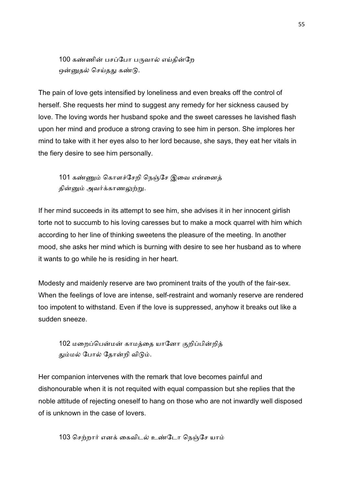100 கண்ணின் பசப்போ பருவால் எய்தின்றே ஒன்னுதல் செய்தது கண்டு.

The pain of love gets intensified by loneliness and even breaks off the control of herself. She requests her mind to suggest any remedy for her sickness caused by love. The loving words her husband spoke and the sweet caresses he lavished flash upon her mind and produce a strong craving to see him in person. She implores her mind to take with it her eyes also to her lord because, she says, they eat her vitals in the fiery desire to see him personally.

101 கண்ணும் கொளச்சேறி நெஞ்சே இவை என்னைத் தின்னும் அவர்க்காணலுற்று.

If her mind succeeds in its attempt to see him, she advises it in her innocent girlish torte not to succumb to his loving caresses but to make a mock quarrel with him which according to her line of thinking sweetens the pleasure of the meeting. In another mood, she asks her mind which is burning with desire to see her husband as to where it wants to go while he is residing in her heart.

Modesty and maidenly reserve are two prominent traits of the youth of the fair-sex. When the feelings of love are intense, self-restraint and womanly reserve are rendered too impotent to withstand. Even if the love is suppressed, anyhow it breaks out like a sudden sneeze.

102 மறைப்பென்மன் காமத்தை யானோ குறிப்பின்றித் தும்மல் போல் தோன்றி விடும்.

Her companion intervenes with the remark that love becomes painful and dishonourable when it is not requited with equal compassion but she replies that the noble attitude of rejecting oneself to hang on those who are not inwardly well disposed of is unknown in the case of lovers.

103 செற்றார் எனக் கைவிடல் உண்டோ நெஞ்சே யாம்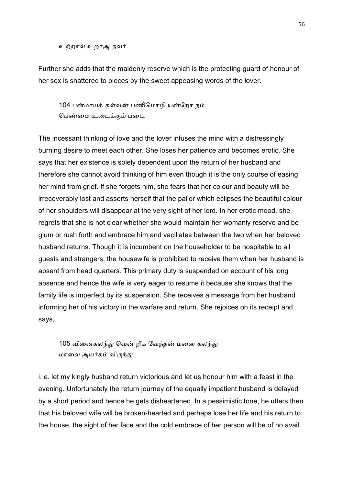உற்றால் உறாஅ தவர்.

Further she adds that the maidenly reserve which is the protecting guard of honour of her sex is shattered to pieces by the sweet appeasing words of the lover.

104 பன்மாயக் கள்வன் பணிமொமி யன்றோ நம் பெண்மை உடைக்கும் படை

The incessant thinking of love and the lover infuses the mind with a distressingly burning desire to meet each other. She loses her patience and becomes erotic. She says that her existence is solely dependent upon the return of her husband and therefore she cannot avoid thinking of him even though it is the only course of easing her mind from grief. If she forgets him, she fears that her colour and beauty will be irrecoverably lost and asserts herself that the pallor which eclipses the beautiful colour of her shoulders will disappear at the very sight of her lord. In her erotic mood, she regrets that she is not clear whether she would maintain her womanly reserve and be glum or rush forth and embrace him and vacillates between the two when her beloved husband returns. Though it is incumbent on the householder to be hospitable to all guests and strangers, the housewife is prohibited to receive them when her husband is absent from head quarters. This primary duty is suspended on account of his long absence and hence the wife is very eager to resume it because she knows that the family life is imperfect by its suspension. She receives a message from her husband informing her of his victory in the warfare and return. She rejoices on its receipt and says,

105 வினைகலந்து வென் றீக வேந்தன் மனை கலந்து மாலை அயர்கம் விருந்து.

i. e. let my kingly husband return victorious and let us honour him with a feast in the evening. Unfortunately the return journey of the equally impatient husband is delayed by a short period and hence he gets disheartened. In a pessimistic tone, he utters then that his beloved wife will be broken-hearted and perhaps lose her life and his return to the house, the sight of her face and the cold embrace of her person will be of no avail.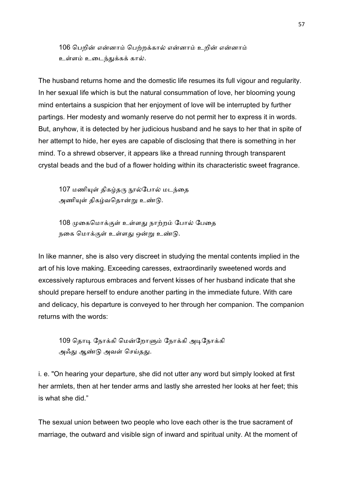106 பெறின் என்னாம் பெற்றக்கால் என்னாம் உறின் என்னாம் உள்ளம் உடைந்துக்கக் கால்.

The husband returns home and the domestic life resumes its full vigour and regularity. In her sexual life which is but the natural consummation of love, her blooming young mind entertains a suspicion that her enjoyment of love will be interrupted by further partings. Her modesty and womanly reserve do not permit her to express it in words. But, anyhow, it is detected by her judicious husband and he says to her that in spite of her attempt to hide, her eyes are capable of disclosing that there is something in her mind. To a shrewd observer, it appears like a thread running through transparent crystal beads and the bud of a flower holding within its characteristic sweet fragrance.

107 மணியுள் திகழ்தரு நூல்போல் மடந்தை அணியுள் திகழ்வதொன்று உண்டு.

108 முகைமொக்குள் உள்ளது நாற்றம் போல் பேதை நகை மொக்குள் உள்ளது ஒன்று உண்டு.

In like manner, she is also very discreet in studying the mental contents implied in the art of his love making. Exceeding caresses, extraordinarily sweetened words and excessively rapturous embraces and fervent kisses of her husband indicate that she should prepare herself to endure another parting in the immediate future. With care and delicacy, his departure is conveyed to her through her companion. The companion returns with the words:

109 தொடி நோக்கி மென்றோளும் நோக்கி அடிநோக்கி அஃது ஆண்டு அவள் செய்தது.

i. e. "On hearing your departure, she did not utter any word but simply looked at first her armlets, then at her tender arms and lastly she arrested her looks at her feet; this is what she did."

The sexual union between two people who love each other is the true sacrament of marriage, the outward and visible sign of inward and spiritual unity. At the moment of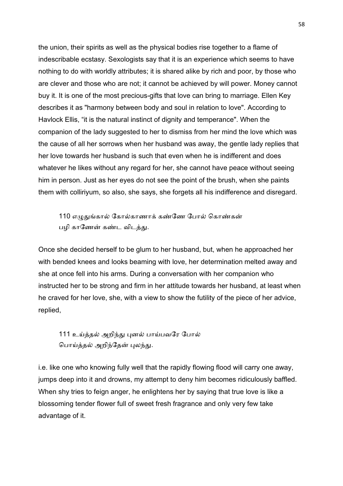the union, their spirits as well as the physical bodies rise together to a flame of indescribable ecstasy. Sexologists say that it is an experience which seems to have nothing to do with worldly attributes; it is shared alike by rich and poor, by those who are clever and those who are not; it cannot be achieved by will power. Money cannot buy it. It is one of the most precious-gifts that love can bring to marriage. Ellen Key describes it as "harmony between body and soul in relation to love". According to Havlock Ellis, "it is the natural instinct of dignity and temperance". When the companion of the lady suggested to her to dismiss from her mind the love which was the cause of all her sorrows when her husband was away, the gentle lady replies that her love towards her husband is such that even when he is indifferent and does whatever he likes without any regard for her, she cannot have peace without seeing him in person. Just as her eyes do not see the point of the brush, when she paints them with colliriyum, so also, she says, she forgets all his indifference and disregard.

110 எழுதுங்கால் கோல்காணாக் கண்ணே போல் கொண்கன் பழி காணேன் கண்ட விடத்து.

Once she decided herself to be glum to her husband, but, when he approached her with bended knees and looks beaming with love, her determination melted away and she at once fell into his arms. During a conversation with her companion who instructed her to be strong and firm in her attitude towards her husband, at least when he craved for her love, she, with a view to show the futility of the piece of her advice, replied,

111 உய்த்தல் அறிந்து புனல் பாய்பவரே போல் பொய்த்தல் அறிந்தேன் புலந்து.

i.e. like one who knowing fully well that the rapidly flowing flood will carry one away, jumps deep into it and drowns, my attempt to deny him becomes ridiculously baffled. When shy tries to feign anger, he enlightens her by saying that true love is like a blossoming tender flower full of sweet fresh fragrance and only very few take advantage of it.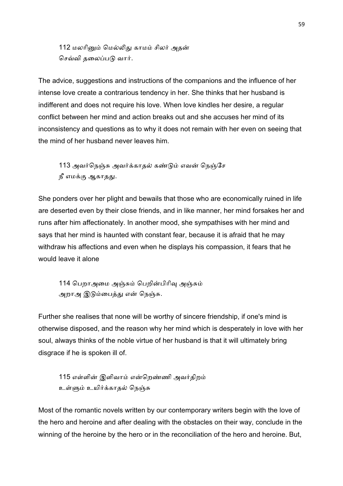112 மலரினும் மெல்லிது காமம் சிலர் அதன் செவ்வி தலைப்படு வார்.

The advice, suggestions and instructions of the companions and the influence of her intense love create a contrarious tendency in her. She thinks that her husband is indifferent and does not require his love. When love kindles her desire, a regular conflict between her mind and action breaks out and she accuses her mind of its inconsistency and questions as to why it does not remain with her even on seeing that the mind of her husband never leaves him.

113 அவர்நெஞ்சு அவர்க்காதல் கண்டும் எவன் நெஞ்சே நீ எமக்கு ஆகாதது.

She ponders over her plight and bewails that those who are economically ruined in life are deserted even by their close friends, and in like manner, her mind forsakes her and runs after him affectionately. In another mood, she sympathises with her mind and says that her mind is haunted with constant fear, because it is afraid that he may withdraw his affections and even when he displays his compassion, it fears that he would leave it alone

114 பெறாஅமை அஞ்சும் பெறின்பிரிவு அஞ்சும் அறாஅ இடும்பைத்து என் நெஞ்சு.

Further she realises that none will be worthy of sincere friendship, if one's mind is otherwise disposed, and the reason why her mind which is desperately in love with her soul, always thinks of the noble virtue of her husband is that it will ultimately bring disgrace if he is spoken ill of.

115 எள்ளின் இளிவாம் என்றெண்ணி அவர்கிறம் உள்ளும் உயிர்க்காதல் நெஞ்சு

Most of the romantic novels written by our contemporary writers begin with the love of the hero and heroine and after dealing with the obstacles on their way, conclude in the winning of the heroine by the hero or in the reconciliation of the hero and heroine. But,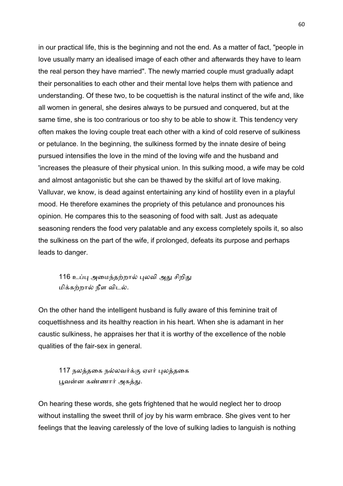in our practical life, this is the beginning and not the end. As a matter of fact, "people in love usually marry an idealised image of each other and afterwards they have to learn the real person they have married". The newly married couple must gradually adapt their personalities to each other and their mental love helps them with patience and understanding. Of these two, to be coquettish is the natural instinct of the wife and, like all women in general, she desires always to be pursued and conquered, but at the same time, she is too contrarious or too shy to be able to show it. This tendency very often makes the loving couple treat each other with a kind of cold reserve of sulkiness or petulance. In the beginning, the sulkiness formed by the innate desire of being pursued intensifies the love in the mind of the loving wife and the husband and 'increases the pleasure of their physical union. In this sulking mood, a wife may be cold and almost antagonistic but she can be thawed by the skilful art of love making. Valluvar, we know, is dead against entertaining any kind of hostility even in a playful mood. He therefore examines the propriety of this petulance and pronounces his opinion. He compares this to the seasoning of food with salt. Just as adequate seasoning renders the food very palatable and any excess completely spoils it, so also the sulkiness on the part of the wife, if prolonged, defeats its purpose and perhaps leads to danger.

116 உப்பு அமைந்தற்றால் புலவி அது சிறிது மிக்கற்றால் நீள விடல்.

On the other hand the intelligent husband is fully aware of this feminine trait of coquettishness and its healthy reaction in his heart. When she is adamant in her caustic sulkiness, he appraises her that it is worthy of the excellence of the noble qualities of the fair-sex in general.

117 நலத்தகை நல்லவர்க்கு ஏஎர் பலக்ககை பூவன்ன கண்ணார் அகத்து.

On hearing these words, she gets frightened that he would neglect her to droop without installing the sweet thrill of joy by his warm embrace. She gives vent to her feelings that the leaving carelessly of the love of sulking ladies to languish is nothing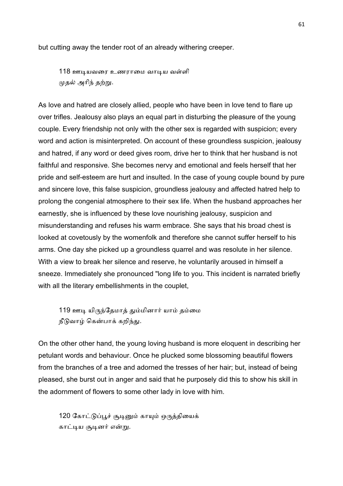but cutting away the tender root of an already withering creeper.

118 ஊடியவரை உணராமை வாடிய வள்ளி முதல் அரிந் தற்று.

As love and hatred are closely allied, people who have been in love tend to flare up over trifles. Jealousy also plays an equal part in disturbing the pleasure of the young couple. Every friendship not only with the other sex is regarded with suspicion; every word and action is misinterpreted. On account of these groundless suspicion, jealousy and hatred, if any word or deed gives room, drive her to think that her husband is not faithful and responsive. She becomes nervy and emotional and feels herself that her pride and self-esteem are hurt and insulted. In the case of young couple bound by pure and sincere love, this false suspicion, groundless jealousy and affected hatred help to prolong the congenial atmosphere to their sex life. When the husband approaches her earnestly, she is influenced by these love nourishing jealousy, suspicion and misunderstanding and refuses his warm embrace. She says that his broad chest is looked at covetously by the womenfolk and therefore she cannot suffer herself to his arms. One day she picked up a groundless quarrel and was resolute in her silence. With a view to break her silence and reserve, he voluntarily aroused in himself a sneeze. Immediately she pronounced "long life to you. This incident is narrated briefly with all the literary embellishments in the couplet,

119 ஊடி யிருந்தேமாத் தும்மினார் யாம் தம்மை நீடுவாழ் கென்பாக் கறிந்து.

On the other other hand, the young loving husband is more eloquent in describing her petulant words and behaviour. Once he plucked some blossoming beautiful flowers from the branches of a tree and adorned the tresses of her hair; but, instead of being pleased, she burst out in anger and said that he purposely did this to show his skill in the adornment of flowers to some other lady in love with him.

120 கோட்டுப்பூச் சூடினும் காயும் ஒருத்தியைக் காட்டிய சூடினர் என்று.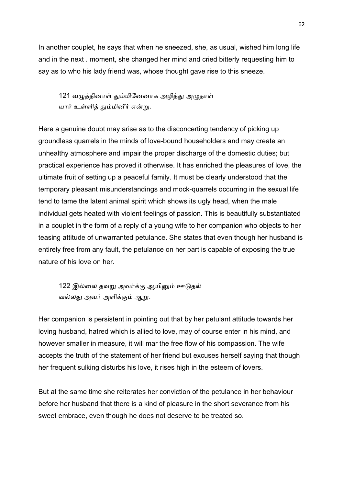In another couplet, he says that when he sneezed, she, as usual, wished him long life and in the next . moment, she changed her mind and cried bitterly requesting him to say as to who his lady friend was, whose thought gave rise to this sneeze.

121 வழுத்தினாள் தும்மினேனாக அழித்து அழுதாள் யார் உள்ளித் தும்மினீர் என்று.

Here a genuine doubt may arise as to the disconcerting tendency of picking up groundless quarrels in the minds of love-bound householders and may create an unhealthy atmosphere and impair the proper discharge of the domestic duties; but practical experience has proved it otherwise. It has enriched the pleasures of love, the ultimate fruit of setting up a peaceful family. It must be clearly understood that the temporary pleasant misunderstandings and mock-quarrels occurring in the sexual life tend to tame the latent animal spirit which shows its ugly head, when the male individual gets heated with violent feelings of passion. This is beautifully substantiated in a couplet in the form of a reply of a young wife to her companion who objects to her teasing attitude of unwarranted petulance. She states that even though her husband is entirely free from any fault, the petulance on her part is capable of exposing the true nature of his love on her.

122 இல்லை தவறு அவர்க்கு ஆயினும் ஊடுதல் வல்லது அவர் அளிக்கும் ஆறு.

Her companion is persistent in pointing out that by her petulant attitude towards her loving husband, hatred which is allied to love, may of course enter in his mind, and however smaller in measure, it will mar the free flow of his compassion. The wife accepts the truth of the statement of her friend but excuses herself saying that though her frequent sulking disturbs his love, it rises high in the esteem of lovers.

But at the same time she reiterates her conviction of the petulance in her behaviour before her husband that there is a kind of pleasure in the short severance from his sweet embrace, even though he does not deserve to be treated so.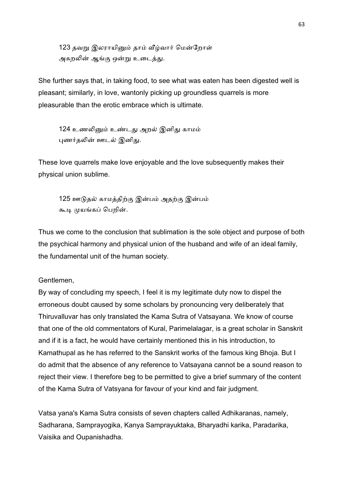123 தவறு இலராயினும் தாம் வீழ்வார் மென்றோள் அகறலின் ஆங்கு ஒன்று உடைத்து.

She further says that, in taking food, to see what was eaten has been digested well is pleasant; similarly, in love, wantonly picking up groundless quarrels is more pleasurable than the erotic embrace which is ultimate.

124 உணலினும் உண்டது அறல் இனிது காமம் புணர்தலின் ஊடல் இனிது.

These love quarrels make love enjoyable and the love subsequently makes their physical union sublime.

125 ஊடுதல் காமத்திற்கு இன்பம் அதற்கு இன்பம் கூடி முயங்கப் பெறின்.

Thus we come to the conclusion that sublimation is the sole object and purpose of both the psychical harmony and physical union of the husband and wife of an ideal family, the fundamental unit of the human society.

## Gentlemen,

By way of concluding my speech, I feel it is my legitimate duty now to dispel the erroneous doubt caused by some scholars by pronouncing very deliberately that Thiruvalluvar has only translated the Kama Sutra of Vatsayana. We know of course that one of the old commentators of Kural, Parimelalagar, is a great scholar in Sanskrit and if it is a fact, he would have certainly mentioned this in his introduction, to Kamathupal as he has referred to the Sanskrit works of the famous king Bhoja. But I do admit that the absence of any reference to Vatsayana cannot be a sound reason to reject their view. I therefore beg to be permitted to give a brief summary of the content of the Kama Sutra of Vatsyana for favour of your kind and fair judgment.

Vatsa yana's Kama Sutra consists of seven chapters called Adhikaranas, namely, Sadharana, Samprayogika, Kanya Samprayuktaka, Bharyadhi karika, Paradarika, Vaisika and Oupanishadha.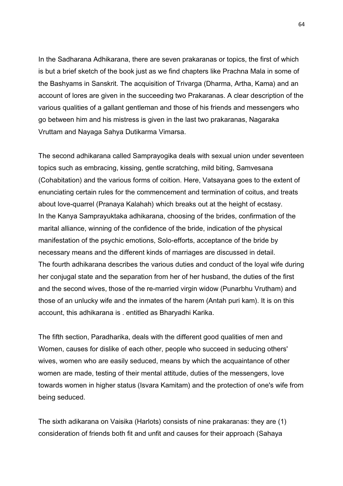In the Sadharana Adhikarana, there are seven prakaranas or topics, the first of which is but a brief sketch of the book just as we find chapters like Prachna Mala in some of the Bashyams in Sanskrit. The acquisition of Trivarga (Dharma, Artha, Kama) and an account of lores are given in the succeeding two Prakaranas. A clear description of the various qualities of a gallant gentleman and those of his friends and messengers who go between him and his mistress is given in the last two prakaranas, Nagaraka Vruttam and Nayaga Sahya Dutikarma Vimarsa.

The second adhikarana called Samprayogika deals with sexual union under seventeen topics such as embracing, kissing, gentle scratching, mild biting, Samvesana (Cohabitation) and the various forms of coition. Here, Vatsayana goes to the extent of enunciating certain rules for the commencement and termination of coitus, and treats about love-quarrel (Pranaya Kalahah) which breaks out at the height of ecstasy. In the Kanya Samprayuktaka adhikarana, choosing of the brides, confirmation of the marital alliance, winning of the confidence of the bride, indication of the physical manifestation of the psychic emotions, Solo-efforts, acceptance of the bride by necessary means and the different kinds of marriages are discussed in detail. The fourth adhikarana describes the various duties and conduct of the loyal wife during her conjugal state and the separation from her of her husband, the duties of the first and the second wives, those of the re-married virgin widow (Punarbhu Vrutham) and those of an unlucky wife and the inmates of the harem (Antah puri kam). It is on this account, this adhikarana is . entitled as Bharyadhi Karika.

The fifth section, Paradharika, deals with the different good qualities of men and Women, causes for dislike of each other, people who succeed in seducing others' wives, women who are easily seduced, means by which the acquaintance of other women are made, testing of their mental attitude, duties of the messengers, love towards women in higher status (Isvara Kamitam) and the protection of one's wife from being seduced.

The sixth adikarana on Vaisika (Harlots) consists of nine prakaranas: they are (1) consideration of friends both fit and unfit and causes for their approach (Sahaya